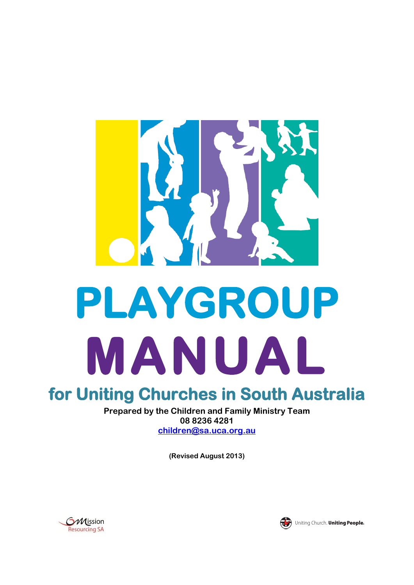

# **for Uniting Churches in South Australia**

**Prepared by the Children and Family Ministry Team 08 8236 4281 [children@sa.uca.org.au](mailto:children@sa.uca.org.au)**

**(Revised August 2013)**





Uniting Church. Uniting People.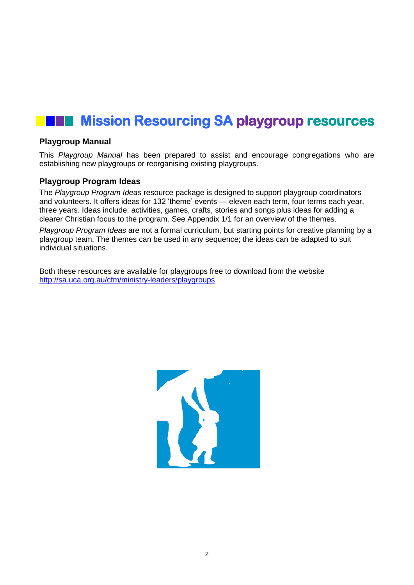## **Mission Resourcing SA playgroup resources**

#### **Playgroup Manual**

This *Playgroup Manual* has been prepared to assist and encourage congregations who are establishing new playgroups or reorganising existing playgroups.

#### **Playgroup Program Ideas**

The *Playgroup Program Ideas* resource package is designed to support playgroup coordinators and volunteers. It offers ideas for 132 'theme' events — eleven each term, four terms each year, three years. Ideas include: activities, games, crafts, stories and songs plus ideas for adding a clearer Christian focus to the program. See Appendix 1/1 for an overview of the themes.

*Playgroup Program Ideas* are not a formal curriculum, but starting points for creative planning by a playgroup team. The themes can be used in any sequence; the ideas can be adapted to suit individual situations.

Both these resources are available for playgroups free to download from the website <http://sa.uca.org.au/cfm/ministry-leaders/playgroups>

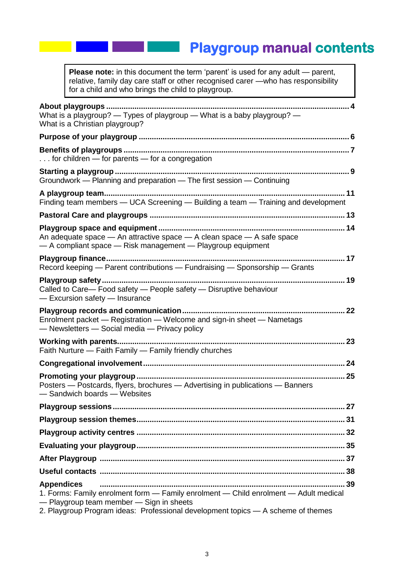## **Playgroup manual contents**

**Please note:** in this document the term 'parent' is used for any adult — parent, relative, family day care staff or other recognised carer —who has responsibility for a child and who brings the child to playgroup.

| What is a playgroup? — Types of playgroup — What is a baby playgroup? —<br>What is a Christian playgroup?                                                                                                                                 |
|-------------------------------------------------------------------------------------------------------------------------------------------------------------------------------------------------------------------------------------------|
|                                                                                                                                                                                                                                           |
| for children - for parents - for a congregation                                                                                                                                                                                           |
| Groundwork - Planning and preparation - The first session - Continuing                                                                                                                                                                    |
| Finding team members - UCA Screening - Building a team - Training and development                                                                                                                                                         |
|                                                                                                                                                                                                                                           |
| An adequate space - An attractive space - A clean space - A safe space<br>- A compliant space - Risk management - Playgroup equipment                                                                                                     |
| Record keeping - Parent contributions - Fundraising - Sponsorship - Grants                                                                                                                                                                |
| Called to Care- Food safety - People safety - Disruptive behaviour<br>- Excursion safety - Insurance                                                                                                                                      |
| 22<br>Enrolment packet - Registration - Welcome and sign-in sheet - Nametags<br>- Newsletters - Social media - Privacy policy                                                                                                             |
| Faith Nurture — Faith Family — Family friendly churches                                                                                                                                                                                   |
|                                                                                                                                                                                                                                           |
| Posters - Postcards, flyers, brochures - Advertising in publications - Banners<br>-Sandwich boards - Websites                                                                                                                             |
| 27                                                                                                                                                                                                                                        |
|                                                                                                                                                                                                                                           |
|                                                                                                                                                                                                                                           |
|                                                                                                                                                                                                                                           |
|                                                                                                                                                                                                                                           |
|                                                                                                                                                                                                                                           |
| <b>Appendices</b><br>1. Forms: Family enrolment form - Family enrolment - Child enrolment - Adult medical<br>- Playgroup team member - Sign in sheets<br>2. Playgroup Program ideas: Professional development topics - A scheme of themes |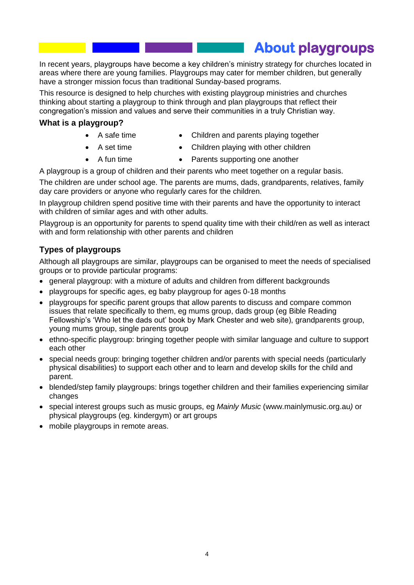**About playgroups** 

In recent years, playgroups have become a key children's ministry strategy for churches located in areas where there are young families. Playgroups may cater for member children, but generally have a stronger mission focus than traditional Sunday-based programs.

This resource is designed to help churches with existing playgroup ministries and churches thinking about starting a playgroup to think through and plan playgroups that reflect their congregation's mission and values and serve their communities in a truly Christian way.

#### **What is a playgroup?**

- A safe time
- Children and parents playing together
- A set time • A fun time
- Children playing with other children • Parents supporting one another

A playgroup is a group of children and their parents who meet together on a regular basis.

The children are under school age. The parents are mums, dads, grandparents, relatives, family day care providers or anyone who regularly cares for the children.

In playgroup children spend positive time with their parents and have the opportunity to interact with children of similar ages and with other adults.

Playgroup is an opportunity for parents to spend quality time with their child/ren as well as interact with and form relationship with other parents and children

### **Types of playgroups**

Although all playgroups are similar, playgroups can be organised to meet the needs of specialised groups or to provide particular programs:

- general playgroup: with a mixture of adults and children from different backgrounds
- playgroups for specific ages, eg baby playgroup for ages 0-18 months
- playgroups for specific parent groups that allow parents to discuss and compare common issues that relate specifically to them, eg mums group, dads group (eg Bible Reading Fellowship's 'Who let the dads out' book by Mark Chester and web site), grandparents group, young mums group, single parents group
- ethno-specific playgroup: bringing together people with similar language and culture to support each other
- special needs group: bringing together children and/or parents with special needs (particularly physical disabilities) to support each other and to learn and develop skills for the child and parent.
- blended/step family playgroups: brings together children and their families experiencing similar changes
- special interest groups such as music groups, eg *Mainly Music* (www.mainlymusic.org.au*)* or physical playgroups (eg. kindergym) or art groups
- mobile playgroups in remote areas.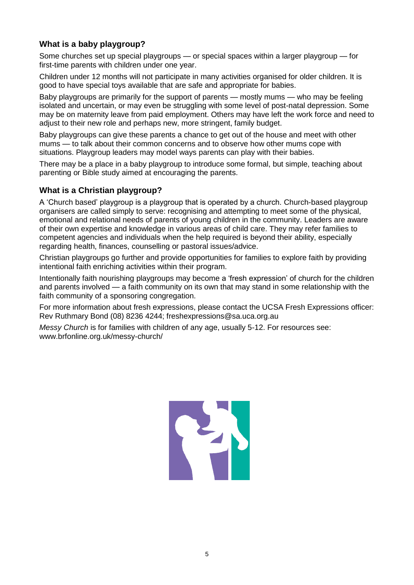## **What is a baby playgroup?**

Some churches set up special playgroups — or special spaces within a larger playgroup — for first-time parents with children under one year.

Children under 12 months will not participate in many activities organised for older children. It is good to have special toys available that are safe and appropriate for babies.

Baby playgroups are primarily for the support of parents — mostly mums — who may be feeling isolated and uncertain, or may even be struggling with some level of post-natal depression. Some may be on maternity leave from paid employment. Others may have left the work force and need to adjust to their new role and perhaps new, more stringent, family budget.

Baby playgroups can give these parents a chance to get out of the house and meet with other mums — to talk about their common concerns and to observe how other mums cope with situations. Playgroup leaders may model ways parents can play with their babies.

There may be a place in a baby playgroup to introduce some formal, but simple, teaching about parenting or Bible study aimed at encouraging the parents.

## **What is a Christian playgroup?**

A 'Church based' playgroup is a playgroup that is operated by a church. Church-based playgroup organisers are called simply to serve: recognising and attempting to meet some of the physical, emotional and relational needs of parents of young children in the community. Leaders are aware of their own expertise and knowledge in various areas of child care. They may refer families to competent agencies and individuals when the help required is beyond their ability, especially regarding health, finances, counselling or pastoral issues/advice.

Christian playgroups go further and provide opportunities for families to explore faith by providing intentional faith enriching activities within their program.

Intentionally faith nourishing playgroups may become a 'fresh expression' of church for the children and parents involved — a faith community on its own that may stand in some relationship with the faith community of a sponsoring congregation.

For more information about fresh expressions, please contact the UCSA Fresh Expressions officer: Rev Ruthmary Bond (08) 8236 4244; freshexpressions@sa.uca.org.au

*Messy Church* is for families with children of any age, usually 5-12. For resources see: www.brfonline.org.uk/messy-church/

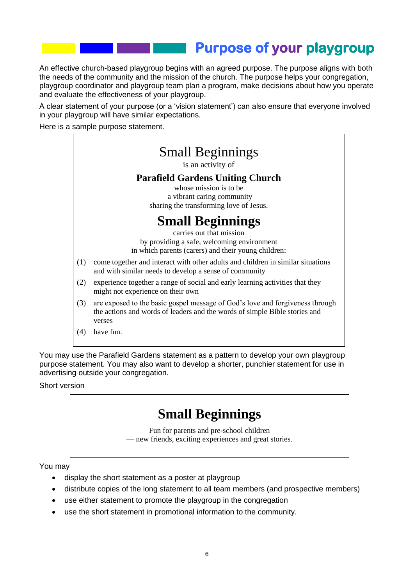## **Purpose of your playgroup**

An effective church-based playgroup begins with an agreed purpose. The purpose aligns with both the needs of the community and the mission of the church. The purpose helps your congregation, playgroup coordinator and playgroup team plan a program, make decisions about how you operate and evaluate the effectiveness of your playgroup.

A clear statement of your purpose (or a 'vision statement') can also ensure that everyone involved in your playgroup will have similar expectations.

Here is a sample purpose statement.



You may use the Parafield Gardens statement as a pattern to develop your own playgroup purpose statement. You may also want to develop a shorter, punchier statement for use in advertising outside your congregation.

Short version

## **Small Beginnings** Fun for parents and pre-school children

— new friends, exciting experiences and great stories.

You may

- display the short statement as a poster at playgroup
- distribute copies of the long statement to all team members (and prospective members)
- use either statement to promote the playgroup in the congregation
- use the short statement in promotional information to the community.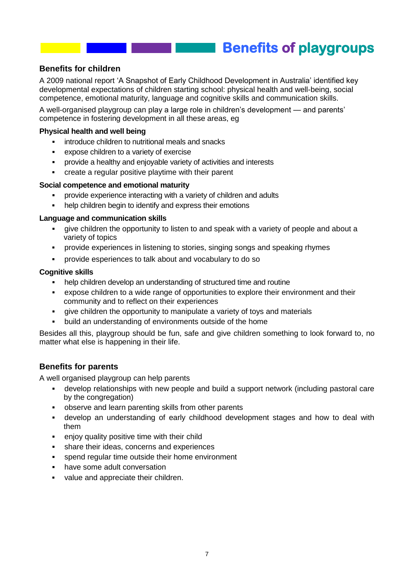## **Benefits of playgroups**

### **Benefits for children**

A 2009 national report 'A Snapshot of Early Childhood Development in Australia' identified key developmental expectations of children starting school: physical health and well-being, social competence, emotional maturity, language and cognitive skills and communication skills.

A well-organised playgroup can play a large role in children's development — and parents' competence in fostering development in all these areas, eg

#### **Physical health and well being**

- introduce children to nutritional meals and snacks
- expose children to a variety of exercise
- provide a healthy and enjoyable variety of activities and interests
- create a regular positive playtime with their parent

#### **Social competence and emotional maturity**

- provide experience interacting with a variety of children and adults
- help children begin to identify and express their emotions

#### **Language and communication skills**

- give children the opportunity to listen to and speak with a variety of people and about a variety of topics
- provide experiences in listening to stories, singing songs and speaking rhymes
- provide esperiences to talk about and vocabulary to do so

#### **Cognitive skills**

- help children develop an understanding of structured time and routine
- expose children to a wide range of opportunities to explore their environment and their community and to reflect on their experiences
- give children the opportunity to manipulate a variety of toys and materials
- build an understanding of environments outside of the home

Besides all this, playgroup should be fun, safe and give children something to look forward to, no matter what else is happening in their life.

### **Benefits for parents**

A well organised playgroup can help parents

- develop relationships with new people and build a support network (including pastoral care by the congregation)
- observe and learn parenting skills from other parents
- develop an understanding of early childhood development stages and how to deal with them
- **EXEC** enjoy quality positive time with their child
- **share their ideas, concerns and experiences**
- spend regular time outside their home environment
- have some adult conversation
- value and appreciate their children.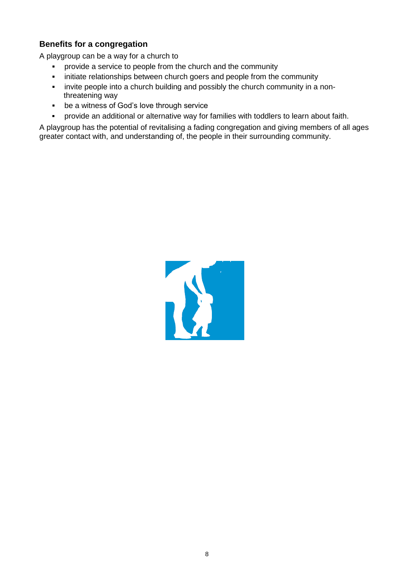## **Benefits for a congregation**

A playgroup can be a way for a church to

- **•** provide a service to people from the church and the community
- **EXEDENT** initiate relationships between church goers and people from the community
- invite people into a church building and possibly the church community in a nonthreatening way
- be a witness of God's love through service
- provide an additional or alternative way for families with toddlers to learn about faith.

A playgroup has the potential of revitalising a fading congregation and giving members of all ages greater contact with, and understanding of, the people in their surrounding community.

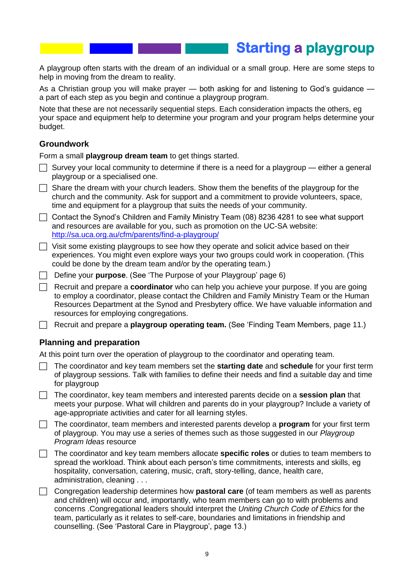## **Starting a playgroup**

A playgroup often starts with the dream of an individual or a small group. Here are some steps to help in moving from the dream to reality.

As a Christian group you will make prayer — both asking for and listening to God's guidance a part of each step as you begin and continue a playgroup program.

Note that these are not necessarily sequential steps. Each consideration impacts the others, eg your space and equipment help to determine your program and your program helps determine your budget.

#### **Groundwork**

Form a small **playgroup dream team** to get things started.

- $\Box$  Survey your local community to determine if there is a need for a playgroup either a general playgroup or a specialised one.
- $\Box$  Share the dream with your church leaders. Show them the benefits of the playgroup for the church and the community. Ask for support and a commitment to provide volunteers, space, time and equipment for a playgroup that suits the needs of your community.
- $\Box$  Contact the Synod's Children and Family Ministry Team (08) 8236 4281 to see what support and resources are available for you, such as promotion on the UC-SA website: <http://sa.uca.org.au/cfm/parents/find-a-playgroup/>
- $\Box$  Visit some existing playgroups to see how they operate and solicit advice based on their experiences. You might even explore ways your two groups could work in cooperation. (This could be done by the dream team and/or by the operating team.)
- Define your **purpose**. (See 'The Purpose of your Playgroup' page 6)
- Recruit and prepare a **coordinator** who can help you achieve your purpose. If you are going to employ a coordinator, please contact the Children and Family Ministry Team or the Human Resources Department at the Synod and Presbytery office. We have valuable information and resources for employing congregations.
- Recruit and prepare a **playgroup operating team.** (See 'Finding Team Members, page 11.)

#### **Planning and preparation**

At this point turn over the operation of playgroup to the coordinator and operating team.

- The coordinator and key team members set the **starting date** and **schedule** for your first term of playgroup sessions. Talk with families to define their needs and find a suitable day and time for playgroup
- The coordinator, key team members and interested parents decide on a **session plan** that meets your purpose. What will children and parents do in your playgroup? Include a variety of age-appropriate activities and cater for all learning styles.
- The coordinator, team members and interested parents develop a **program** for your first term of playgroup. You may use a series of themes such as those suggested in our *Playgroup Program Ideas* resource
- The coordinator and key team members allocate **specific roles** or duties to team members to spread the workload. Think about each person's time commitments, interests and skills, eg hospitality, conversation, catering, music, craft, story-telling, dance, health care, administration, cleaning . . .
- Congregation leadership determines how **pastoral care** (of team members as well as parents and children) will occur and, importantly, who team members can go to with problems and concerns .Congregational leaders should interpret the *Uniting Church Code of Ethics* for the team, particularly as it relates to self-care, boundaries and limitations in friendship and counselling. (See 'Pastoral Care in Playgroup', page 13.)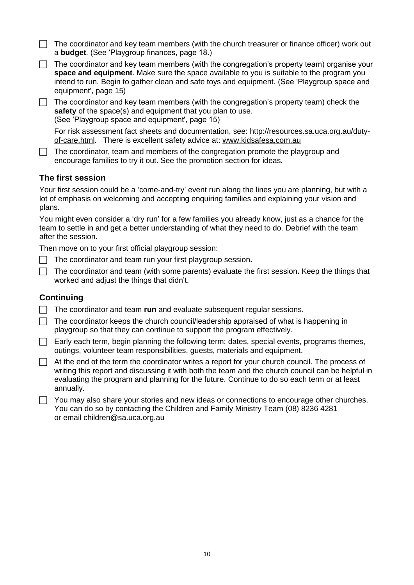- $\Box$  The coordinator and key team members (with the church treasurer or finance officer) work out a **budget**. (See 'Playgroup finances, page 18.)
- $\Box$  The coordinator and key team members (with the congregation's property team) organise your **space and equipment**. Make sure the space available to you is suitable to the program you intend to run. Begin to gather clean and safe toys and equipment. (See 'Playgroup space and equipment', page 15)
- $\Box$  The coordinator and key team members (with the congregation's property team) check the **safety** of the space(s) and equipment that you plan to use. (See 'Playgroup space and equipment', page 15)

For risk assessment fact sheets and documentation, see: [http://resources.sa.uca.org.au/duty](http://resources.sa.uca.org.au/duty-of-care.html)[of-care.html.](http://resources.sa.uca.org.au/duty-of-care.html) There is excellent safety advice at: [www.kidsafesa.com.au](http://www.kidsafesa.com.au/) 

 $\Box$  The coordinator, team and members of the congregation promote the playgroup and encourage families to try it out. See the promotion section for ideas.

### **The first session**

Your first session could be a 'come-and-try' event run along the lines you are planning, but with a lot of emphasis on welcoming and accepting enquiring families and explaining your vision and plans.

You might even consider a 'dry run' for a few families you already know, just as a chance for the team to settle in and get a better understanding of what they need to do. Debrief with the team after the session.

Then move on to your first official playgroup session:

- The coordinator and team run your first playgroup session.
- The coordinator and team (with some parents) evaluate the first session**.** Keep the things that worked and adjust the things that didn't.

### **Continuing**

- The coordinator and team **run** and evaluate subsequent regular sessions.
- $\Box$  The coordinator keeps the church council/leadership appraised of what is happening in playgroup so that they can continue to support the program effectively.
- $\Box$  Early each term, begin planning the following term: dates, special events, programs themes, outings, volunteer team responsibilities, guests, materials and equipment.
- $\Box$  At the end of the term the coordinator writes a report for your church council. The process of writing this report and discussing it with both the team and the church council can be helpful in evaluating the program and planning for the future. Continue to do so each term or at least annually.
- $\Box$  You may also share your stories and new ideas or connections to encourage other churches. You can do so by contacting the Children and Family Ministry Team (08) 8236 4281 or email children@sa.uca.org.au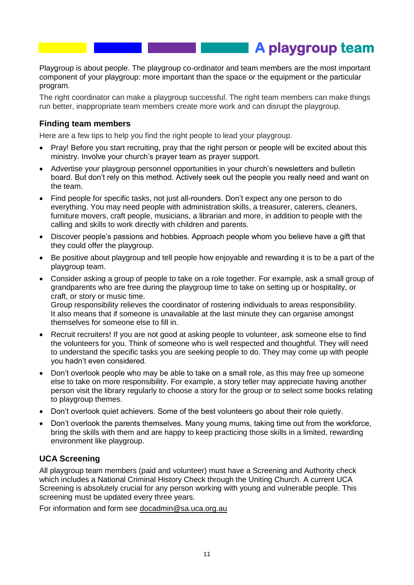Playgroup is about people. The playgroup co-ordinator and team members are the most important component of your playgroup: more important than the space or the equipment or the particular program.

**A playgroup team** 

The right coordinator can make a playgroup successful. The right team members can make things run better, inappropriate team members create more work and can disrupt the playgroup.

#### **Finding team members**

Here are a few tips to help you find the right people to lead your playgroup.

- Pray! Before you start recruiting, pray that the right person or people will be excited about this ministry. Involve your church's prayer team as prayer support.
- Advertise your playgroup personnel opportunities in your church's newsletters and bulletin board. But don't rely on this method. Actively seek out the people you really need and want on the team.
- Find people for specific tasks, not just all-rounders. Don't expect any one person to do everything. You may need people with administration skills, a treasurer, caterers, cleaners, furniture movers, craft people, musicians, a librarian and more, in addition to people with the calling and skills to work directly with children and parents.
- Discover people's passions and hobbies. Approach people whom you believe have a gift that they could offer the playgroup.
- Be positive about playgroup and tell people how enjoyable and rewarding it is to be a part of the playgroup team.
- Consider asking a group of people to take on a role together. For example, ask a small group of grandparents who are free during the playgroup time to take on setting up or hospitality, or craft, or story or music time. Group responsibility relieves the coordinator of rostering individuals to areas responsibility. It also means that if someone is unavailable at the last minute they can organise amongst themselves for someone else to fill in.
- Recruit recruiters! If you are not good at asking people to volunteer, ask someone else to find the volunteers for you. Think of someone who is well respected and thoughtful. They will need to understand the specific tasks you are seeking people to do. They may come up with people you hadn't even considered.
- Don't overlook people who may be able to take on a small role, as this may free up someone else to take on more responsibility. For example, a story teller may appreciate having another person visit the library regularly to choose a story for the group or to select some books relating to playgroup themes.
- Don't overlook quiet achievers. Some of the best volunteers go about their role quietly.
- Don't overlook the parents themselves. Many young mums, taking time out from the workforce, bring the skills with them and are happy to keep practicing those skills in a limited, rewarding environment like playgroup.

### **UCA Screening**

All playgroup team members (paid and volunteer) must have a Screening and Authority check which includes a National Criminal History Check through the Uniting Church. A current UCA Screening is absolutely crucial for any person working with young and vulnerable people. This screening must be updated every three years.

For information and form see docadmin@sa.uca.org.au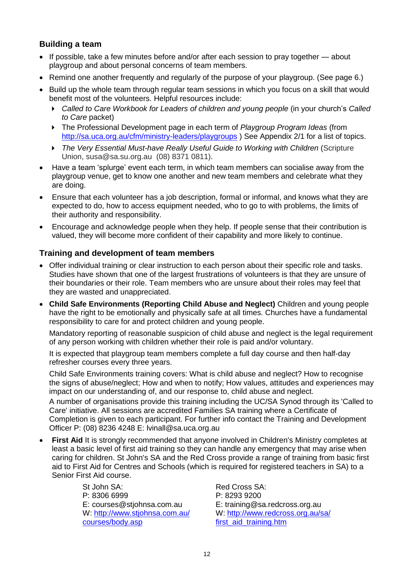## **Building a team**

- If possible, take a few minutes before and/or after each session to pray together about playgroup and about personal concerns of team members.
- Remind one another frequently and regularly of the purpose of your playgroup. (See page 6.)
- Build up the whole team through regular team sessions in which you focus on a skill that would benefit most of the volunteers. Helpful resources include:
	- *Called to Care Workbook for Leaders of children and young people* (in your church's *Called to Care* packet)
	- The Professional Development page in each term of *Playgroup Program Ideas* (from <http://sa.uca.org.au/cfm/ministry-leaders/playgroups> ) See Appendix 2/1 for a list of topics.
	- **The Very Essential Must-have Really Useful Guide to Working with Children (Scripture**) Union, susa@sa.su.org.au (08) 8371 0811).
- Have a team 'splurge' event each term, in which team members can socialise away from the playgroup venue, get to know one another and new team members and celebrate what they are doing.
- Ensure that each volunteer has a job description, formal or informal, and knows what they are expected to do, how to access equipment needed, who to go to with problems, the limits of their authority and responsibility.
- Encourage and acknowledge people when they help. If people sense that their contribution is valued, they will become more confident of their capability and more likely to continue.

### **Training and development of team members**

- Offer individual training or clear instruction to each person about their specific role and tasks. Studies have shown that one of the largest frustrations of volunteers is that they are unsure of their boundaries or their role. Team members who are unsure about their roles may feel that they are wasted and unappreciated.
- **Child Safe Environments (Reporting Child Abuse and Neglect)** Children and young people have the right to be emotionally and physically safe at all times. Churches have a fundamental responsibility to care for and protect children and young people.

Mandatory reporting of reasonable suspicion of child abuse and neglect is the legal requirement of any person working with children whether their role is paid and/or voluntary.

It is expected that playgroup team members complete a full day course and then half-day refresher courses every three years.

Child Safe Environments training covers: What is child abuse and neglect? How to recognise the signs of abuse/neglect; How and when to notify; How values, attitudes and experiences may impact on our understanding of, and our response to, child abuse and neglect.

A number of organisations provide this training including the UC/SA Synod through its 'Called to Care' initiative. All sessions are accredited Families SA training where a Certificate of Completion is given to each participant. For further info contact the Training and Development Officer P: (08) 8236 4248 E: lvinall@sa.uca.org.au

 **First Aid** It is strongly recommended that anyone involved in Children's Ministry completes at least a basic level of first aid training so they can handle any emergency that may arise when caring for children. St John's SA and the Red Cross provide a range of training from basic first aid to First Aid for Centres and Schools (which is required for registered teachers in SA) to a Senior First Aid course.

> St John SA: P: 8306 6999 E: [courses@stjohnsa.com.au](mailto:courses@stjohnsa.com.au) W: [http://www.stjohnsa.com.au/](http://www.stjohnsa.com.au/%0bcourses/body.asp) [courses/body.asp](http://www.stjohnsa.com.au/%0bcourses/body.asp)

Red Cross SA: P: 8293 9200 E: [training@sa.redcross.org.au](mailto:training@sa.redcross.org.au) W: [http://www.redcross.org.au/sa/](http://www.redcross.org.au/sa/%0bfirst_aid_training.htm) [first\\_aid\\_training.htm](http://www.redcross.org.au/sa/%0bfirst_aid_training.htm)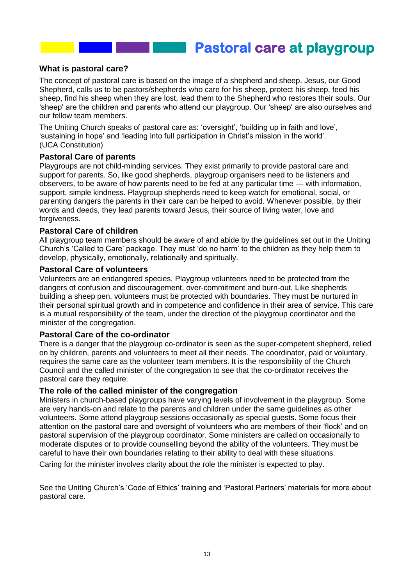**Pastoral care at playgroup** 

#### **What is pastoral care?**

The concept of pastoral care is based on the image of a shepherd and sheep. Jesus, our Good Shepherd, calls us to be pastors/shepherds who care for his sheep, protect his sheep, feed his sheep, find his sheep when they are lost, lead them to the Shepherd who restores their souls. Our 'sheep' are the children and parents who attend our playgroup. Our 'sheep' are also ourselves and our fellow team members.

The Uniting Church speaks of pastoral care as: 'oversight', 'building up in faith and love', 'sustaining in hope' and 'leading into full participation in Christ's mission in the world'. (UCA Constitution)

#### **Pastoral Care of parents**

Playgroups are not child-minding services. They exist primarily to provide pastoral care and support for parents. So, like good shepherds, playgroup organisers need to be listeners and observers, to be aware of how parents need to be fed at any particular time — with information, support, simple kindness. Playgroup shepherds need to keep watch for emotional, social, or parenting dangers the parents in their care can be helped to avoid. Whenever possible, by their words and deeds, they lead parents toward Jesus, their source of living water, love and forgiveness.

#### **Pastoral Care of children**

All playgroup team members should be aware of and abide by the guidelines set out in the Uniting Church's 'Called to Care' package. They must 'do no harm' to the children as they help them to develop, physically, emotionally, relationally and spiritually.

#### **Pastoral Care of volunteers**

Volunteers are an endangered species. Playgroup volunteers need to be protected from the dangers of confusion and discouragement, over-commitment and burn-out. Like shepherds building a sheep pen, volunteers must be protected with boundaries. They must be nurtured in their personal spiritual growth and in competence and confidence in their area of service. This care is a mutual responsibility of the team, under the direction of the playgroup coordinator and the minister of the congregation.

#### **Pastoral Care of the co-ordinator**

There is a danger that the playgroup co-ordinator is seen as the super-competent shepherd, relied on by children, parents and volunteers to meet all their needs. The coordinator, paid or voluntary, requires the same care as the volunteer team members. It is the responsibility of the Church Council and the called minister of the congregation to see that the co-ordinator receives the pastoral care they require.

#### **The role of the called minister of the congregation**

Ministers in church-based playgroups have varying levels of involvement in the playgroup. Some are very hands-on and relate to the parents and children under the same guidelines as other volunteers. Some attend playgroup sessions occasionally as special guests. Some focus their attention on the pastoral care and oversight of volunteers who are members of their 'flock' and on pastoral supervision of the playgroup coordinator. Some ministers are called on occasionally to moderate disputes or to provide counselling beyond the ability of the volunteers. They must be careful to have their own boundaries relating to their ability to deal with these situations.

Caring for the minister involves clarity about the role the minister is expected to play.

See the Uniting Church's 'Code of Ethics' training and 'Pastoral Partners' materials for more about pastoral care.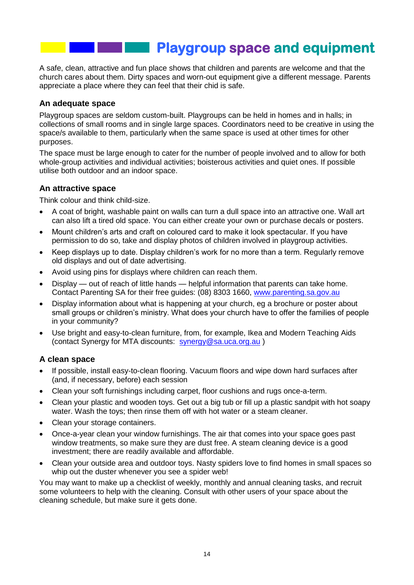# **Playgroup space and equipment**

A safe, clean, attractive and fun place shows that children and parents are welcome and that the church cares about them. Dirty spaces and worn-out equipment give a different message. Parents appreciate a place where they can feel that their chid is safe.

#### **An adequate space**

Playgroup spaces are seldom custom-built. Playgroups can be held in homes and in halls; in collections of small rooms and in single large spaces. Coordinators need to be creative in using the space/s available to them, particularly when the same space is used at other times for other purposes.

The space must be large enough to cater for the number of people involved and to allow for both whole-group activities and individual activities; boisterous activities and quiet ones. If possible utilise both outdoor and an indoor space.

### **An attractive space**

Think colour and think child-size.

- A coat of bright, washable paint on walls can turn a dull space into an attractive one. Wall art can also lift a tired old space. You can either create your own or purchase decals or posters.
- Mount children's arts and craft on coloured card to make it look spectacular. If you have permission to do so, take and display photos of children involved in playgroup activities.
- Keep displays up to date. Display children's work for no more than a term. Regularly remove old displays and out of date advertising.
- Avoid using pins for displays where children can reach them.
- Display out of reach of little hands helpful information that parents can take home. Contact Parenting SA for their free guides: (08) 8303 1660, [www.parenting.sa.gov.au](http://www.parenting.sa.gov.au/)
- Display information about what is happening at your church, eg a brochure or poster about small groups or children's ministry. What does your church have to offer the families of people in your community?
- Use bright and easy-to-clean furniture, from, for example, Ikea and Modern Teaching Aids (contact Synergy for MTA discounts: [synergy@sa.uca.org.au](mailto:synergy@sa.uca.org.au) )

### **A clean space**

- If possible, install easy-to-clean flooring. Vacuum floors and wipe down hard surfaces after (and, if necessary, before) each session
- Clean your soft furnishings including carpet, floor cushions and rugs once-a-term.
- Clean your plastic and wooden toys. Get out a big tub or fill up a plastic sandpit with hot soapy water. Wash the toys; then rinse them off with hot water or a steam cleaner.
- Clean your storage containers.
- Once-a-year clean your window furnishings. The air that comes into your space goes past window treatments, so make sure they are dust free. A steam cleaning device is a good investment; there are readily available and affordable.
- Clean your outside area and outdoor toys. Nasty spiders love to find homes in small spaces so whip out the duster whenever you see a spider web!

You may want to make up a checklist of weekly, monthly and annual cleaning tasks, and recruit some volunteers to help with the cleaning. Consult with other users of your space about the cleaning schedule, but make sure it gets done.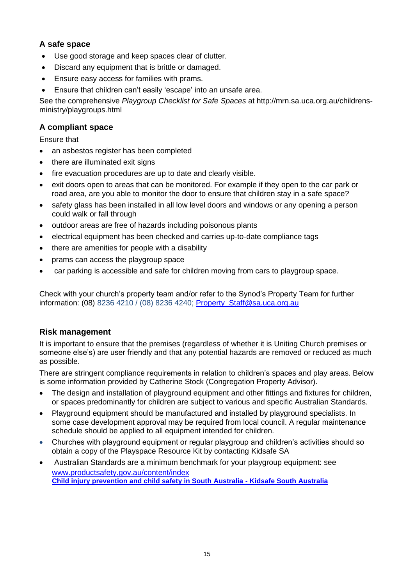## **A safe space**

- Use good storage and keep spaces clear of clutter.
- Discard any equipment that is brittle or damaged.
- Ensure easy access for families with prams.
- Ensure that children can't easily 'escape' into an unsafe area.

See the comprehensive *Playgroup Checklist for Safe Spaces* at http://mrn.sa.uca.org.au/childrensministry/playgroups.html

## **A compliant space**

Ensure that

- an asbestos register has been completed
- there are illuminated exit signs
- fire evacuation procedures are up to date and clearly visible.
- exit doors open to areas that can be monitored. For example if they open to the car park or road area, are you able to monitor the door to ensure that children stay in a safe space?
- safety glass has been installed in all low level doors and windows or any opening a person could walk or fall through
- outdoor areas are free of hazards including poisonous plants
- electrical equipment has been checked and carries up-to-date compliance tags
- there are amenities for people with a disability
- prams can access the playgroup space
- car parking is accessible and safe for children moving from cars to playgroup space.

Check with your church's property team and/or refer to the Synod's Property Team for further information: (08) 8236 4210 / (08) 8236 4240; [Property\\_Staff@sa.uca.org.au](mailto:Property_Staff@sa.uca.org.au)

## **Risk management**

It is important to ensure that the premises (regardless of whether it is Uniting Church premises or someone else's) are user friendly and that any potential hazards are removed or reduced as much as possible.

There are stringent compliance requirements in relation to children's spaces and play areas. Below is some information provided by Catherine Stock (Congregation Property Advisor).

- The design and installation of playground equipment and other fittings and fixtures for children, or spaces predominantly for children are subject to various and specific Australian Standards.
- Playground equipment should be manufactured and installed by playground specialists. In some case development approval may be required from local council. A regular maintenance schedule should be applied to all equipment intended for children.
- Churches with playground equipment or regular playgroup and children's activities should so obtain a copy of the Playspace Resource Kit by contacting Kidsafe SA
- Australian Standards are a minimum benchmark for your playgroup equipment: see [www.productsafety.gov.au/content/index](file://synodsa.local/Profile/FolderRedirection/zwarmary/AppData/Roaming/Microsoft/Word/www.productsafety.gov.au/content/index) **[Child injury prevention and child safety in South Australia -](http://www.kidsafesa.com.au/index.php?page=factSheets&cat=Information+Pages&subcat=Fact+Sheets) Kidsafe South Australia**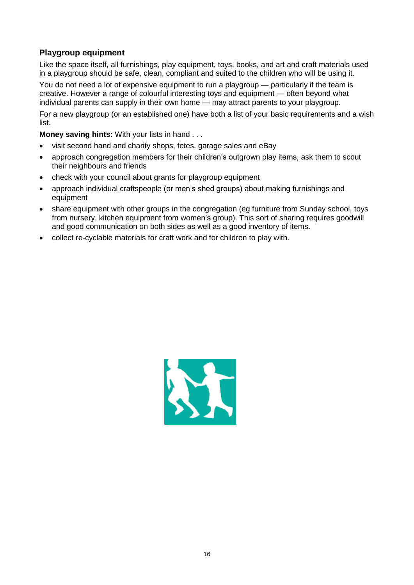## **Playgroup equipment**

Like the space itself, all furnishings, play equipment, toys, books, and art and craft materials used in a playgroup should be safe, clean, compliant and suited to the children who will be using it.

You do not need a lot of expensive equipment to run a playgroup — particularly if the team is creative. However a range of colourful interesting toys and equipment — often beyond what individual parents can supply in their own home — may attract parents to your playgroup.

For a new playgroup (or an established one) have both a list of your basic requirements and a wish list.

**Money saving hints:** With your lists in hand . . .

- visit second hand and charity shops, fetes, garage sales and eBay
- approach congregation members for their children's outgrown play items, ask them to scout their neighbours and friends
- check with your council about grants for playgroup equipment
- approach individual craftspeople (or men's shed groups) about making furnishings and equipment
- share equipment with other groups in the congregation (eg furniture from Sunday school, toys from nursery, kitchen equipment from women's group). This sort of sharing requires goodwill and good communication on both sides as well as a good inventory of items.
- collect re-cyclable materials for craft work and for children to play with.

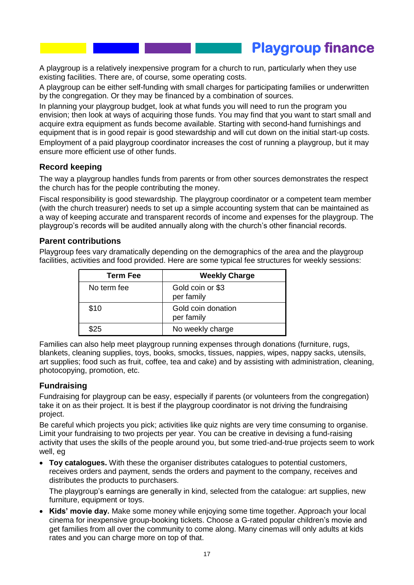**Playgroup finance** 

A playgroup is a relatively inexpensive program for a church to run, particularly when they use existing facilities. There are, of course, some operating costs.

A playgroup can be either self-funding with small charges for participating families or underwritten by the congregation. Or they may be financed by a combination of sources.

In planning your playgroup budget, look at what funds you will need to run the program you envision; then look at ways of acquiring those funds. You may find that you want to start small and acquire extra equipment as funds become available. Starting with second-hand furnishings and equipment that is in good repair is good stewardship and will cut down on the initial start-up costs. Employment of a paid playgroup coordinator increases the cost of running a playgroup, but it may ensure more efficient use of other funds.

### **Record keeping**

The way a playgroup handles funds from parents or from other sources demonstrates the respect the church has for the people contributing the money.

Fiscal responsibility is good stewardship. The playgroup coordinator or a competent team member (with the church treasurer) needs to set up a simple accounting system that can be maintained as a way of keeping accurate and transparent records of income and expenses for the playgroup. The playgroup's records will be audited annually along with the church's other financial records.

#### **Parent contributions**

Playgroup fees vary dramatically depending on the demographics of the area and the playgroup facilities, activities and food provided. Here are some typical fee structures for weekly sessions:

| Term Fee    | <b>Weekly Charge</b>             |
|-------------|----------------------------------|
| No term fee | Gold coin or \$3<br>per family   |
| \$10        | Gold coin donation<br>per family |
| \$25        | No weekly charge                 |

Families can also help meet playgroup running expenses through donations (furniture, rugs, blankets, cleaning supplies, toys, books, smocks, tissues, nappies, wipes, nappy sacks, utensils, art supplies; food such as fruit, coffee, tea and cake) and by assisting with administration, cleaning, photocopying, promotion, etc.

### **Fundraising**

Fundraising for playgroup can be easy, especially if parents (or volunteers from the congregation) take it on as their project. It is best if the playgroup coordinator is not driving the fundraising project.

Be careful which projects you pick; activities like quiz nights are very time consuming to organise. Limit your fundraising to two projects per year. You can be creative in devising a fund-raising activity that uses the skills of the people around you, but some tried-and-true projects seem to work well, eg

 **Toy catalogues.** With these the organiser distributes catalogues to potential customers, receives orders and payment, sends the orders and payment to the company, receives and distributes the products to purchasers.

The playgroup's earnings are generally in kind, selected from the catalogue: art supplies, new furniture, equipment or toys.

 **Kids' movie day.** Make some money while enjoying some time together. Approach your local cinema for inexpensive group-booking tickets. Choose a G-rated popular children's movie and get families from all over the community to come along. Many cinemas will only adults at kids rates and you can charge more on top of that.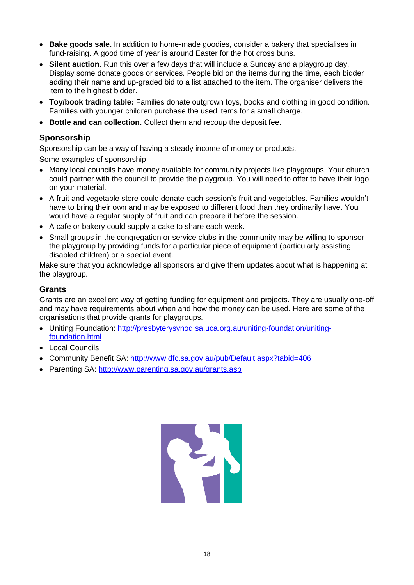- **Bake goods sale.** In addition to home-made goodies, consider a bakery that specialises in fund-raising. A good time of year is around Easter for the hot cross buns.
- **Silent auction.** Run this over a few days that will include a Sunday and a playgroup day. Display some donate goods or services. People bid on the items during the time, each bidder adding their name and up-graded bid to a list attached to the item. The organiser delivers the item to the highest bidder.
- **Toy/book trading table:** Families donate outgrown toys, books and clothing in good condition. Families with younger children purchase the used items for a small charge.
- **Bottle and can collection.** Collect them and recoup the deposit fee.

## **Sponsorship**

Sponsorship can be a way of having a steady income of money or products.

Some examples of sponsorship:

- Many local councils have money available for community projects like playgroups. Your church could partner with the council to provide the playgroup. You will need to offer to have their logo on your material.
- A fruit and vegetable store could donate each session's fruit and vegetables. Families wouldn't have to bring their own and may be exposed to different food than they ordinarily have. You would have a regular supply of fruit and can prepare it before the session.
- A cafe or bakery could supply a cake to share each week.
- Small groups in the congregation or service clubs in the community may be willing to sponsor the playgroup by providing funds for a particular piece of equipment (particularly assisting disabled children) or a special event.

Make sure that you acknowledge all sponsors and give them updates about what is happening at the playgroup.

### **Grants**

Grants are an excellent way of getting funding for equipment and projects. They are usually one-off and may have requirements about when and how the money can be used. Here are some of the organisations that provide grants for playgroups.

- Uniting Foundation: [http://presbyterysynod.sa.uca.org.au/uniting-foundation/uniting](http://presbyterysynod.sa.uca.org.au/uniting-foundation/uniting-foundation.html)[foundation.html](http://presbyterysynod.sa.uca.org.au/uniting-foundation/uniting-foundation.html)
- **Local Councils**
- Community Benefit SA:<http://www.dfc.sa.gov.au/pub/Default.aspx?tabid=406>
- Parenting SA:<http://www.parenting.sa.gov.au/grants.asp>

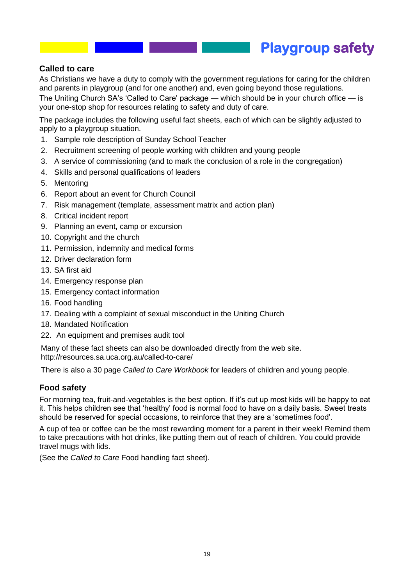## **Playgroup safety**

### **Called to care**

As Christians we have a duty to comply with the government regulations for caring for the children and parents in playgroup (and for one another) and, even going beyond those regulations.

The Uniting Church SA's 'Called to Care' package — which should be in your church office — is your one-stop shop for resources relating to safety and duty of care.

The package includes the following useful fact sheets, each of which can be slightly adjusted to apply to a playgroup situation.

- 1. Sample role description of Sunday School Teacher
- 2. Recruitment screening of people working with children and young people
- 3. A service of commissioning (and to mark the conclusion of a role in the congregation)
- 4. Skills and personal qualifications of leaders
- 5. Mentoring
- 6. Report about an event for Church Council
- 7. Risk management (template, assessment matrix and action plan)
- 8. Critical incident report
- 9. Planning an event, camp or excursion
- 10. Copyright and the church
- 11. Permission, indemnity and medical forms
- 12. Driver declaration form
- 13. SA first aid
- 14. Emergency response plan
- 15. Emergency contact information
- 16. Food handling
- 17. Dealing with a complaint of sexual misconduct in the Uniting Church
- 18. Mandated Notification
- 22. An equipment and premises audit tool

Many of these fact sheets can also be downloaded directly from the web site. http://resources.sa.uca.org.au/called-to-care/

There is also a 30 page *Called to Care Workbook* for leaders of children and young people.

#### **Food safety**

For morning tea, fruit-and-vegetables is the best option. If it's cut up most kids will be happy to eat it. This helps children see that 'healthy' food is normal food to have on a daily basis. Sweet treats should be reserved for special occasions, to reinforce that they are a 'sometimes food'.

A cup of tea or coffee can be the most rewarding moment for a parent in their week! Remind them to take precautions with hot drinks, like putting them out of reach of children. You could provide travel mugs with lids.

(See the *Called to Care* Food handling fact sheet).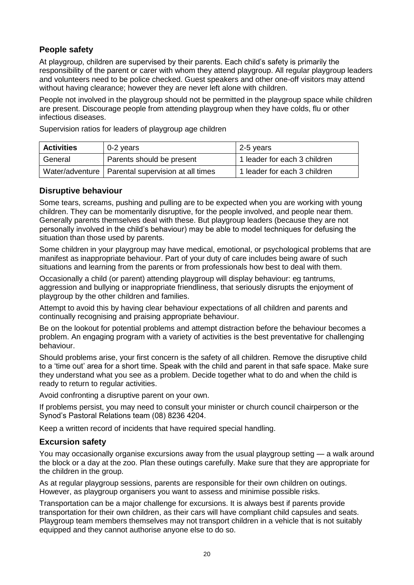### **People safety**

At playgroup, children are supervised by their parents. Each child's safety is primarily the responsibility of the parent or carer with whom they attend playgroup. All regular playgroup leaders and volunteers need to be police checked. Guest speakers and other one-off visitors may attend without having clearance; however they are never left alone with children.

People not involved in the playgroup should not be permitted in the playgroup space while children are present. Discourage people from attending playgroup when they have colds, flu or other infectious diseases.

Supervision ratios for leaders of playgroup age children

| <b>Activities</b> | 0-2 years                                           | 2-5 years                    |
|-------------------|-----------------------------------------------------|------------------------------|
| General           | Parents should be present                           | 1 leader for each 3 children |
|                   | Water/adventure   Parental supervision at all times | 1 leader for each 3 children |

### **Disruptive behaviour**

Some tears, screams, pushing and pulling are to be expected when you are working with young children. They can be momentarily disruptive, for the people involved, and people near them. Generally parents themselves deal with these. But playgroup leaders (because they are not personally involved in the child's behaviour) may be able to model techniques for defusing the situation than those used by parents.

Some children in your playgroup may have medical, emotional, or psychological problems that are manifest as inappropriate behaviour. Part of your duty of care includes being aware of such situations and learning from the parents or from professionals how best to deal with them.

Occasionally a child (or parent) attending playgroup will display behaviour: eg tantrums, aggression and bullying or inappropriate friendliness, that seriously disrupts the enjoyment of playgroup by the other children and families.

Attempt to avoid this by having clear behaviour expectations of all children and parents and continually recognising and praising appropriate behaviour.

Be on the lookout for potential problems and attempt distraction before the behaviour becomes a problem. An engaging program with a variety of activities is the best preventative for challenging behaviour.

Should problems arise, your first concern is the safety of all children. Remove the disruptive child to a 'time out' area for a short time. Speak with the child and parent in that safe space. Make sure they understand what you see as a problem. Decide together what to do and when the child is ready to return to regular activities.

Avoid confronting a disruptive parent on your own.

If problems persist, you may need to consult your minister or church council chairperson or the Synod's Pastoral Relations team (08) 8236 4204.

Keep a written record of incidents that have required special handling.

### **Excursion safety**

You may occasionally organise excursions away from the usual playgroup setting — a walk around the block or a day at the zoo. Plan these outings carefully. Make sure that they are appropriate for the children in the group.

As at regular playgroup sessions, parents are responsible for their own children on outings. However, as playgroup organisers you want to assess and minimise possible risks.

Transportation can be a major challenge for excursions. It is always best if parents provide transportation for their own children, as their cars will have compliant child capsules and seats. Playgroup team members themselves may not transport children in a vehicle that is not suitably equipped and they cannot authorise anyone else to do so.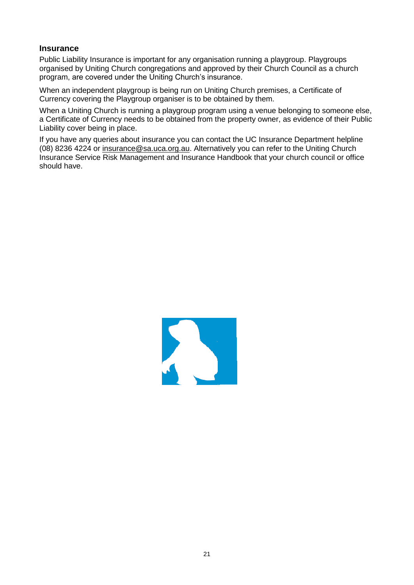### **Insurance**

Public Liability Insurance is important for any organisation running a playgroup. Playgroups organised by Uniting Church congregations and approved by their Church Council as a church program, are covered under the Uniting Church's insurance.

When an independent playgroup is being run on Uniting Church premises, a Certificate of Currency covering the Playgroup organiser is to be obtained by them.

When a Uniting Church is running a playgroup program using a venue belonging to someone else, a Certificate of Currency needs to be obtained from the property owner, as evidence of their Public Liability cover being in place.

If you have any queries about insurance you can contact the UC Insurance Department helpline (08) 8236 4224 or [insurance@sa.uca.org.au.](mailto:insurance@sa.uca.org.au) Alternatively you can refer to the Uniting Church Insurance Service Risk Management and Insurance Handbook that your church council or office should have.

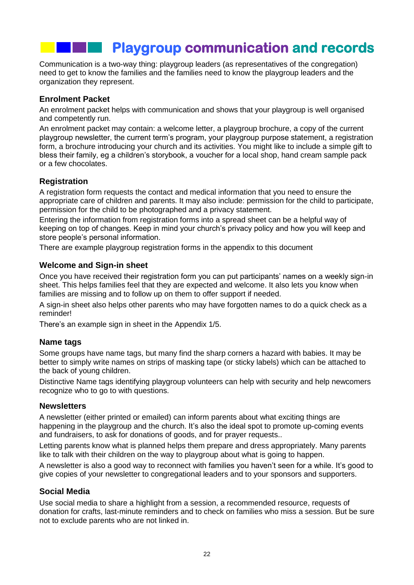# **Playgroup communication and records**

Communication is a two-way thing: playgroup leaders (as representatives of the congregation) need to get to know the families and the families need to know the playgroup leaders and the organization they represent.

#### **Enrolment Packet**

An enrolment packet helps with communication and shows that your playgroup is well organised and competently run.

An enrolment packet may contain: a welcome letter, a playgroup brochure, a copy of the current playgroup newsletter, the current term's program, your playgroup purpose statement, a registration form, a brochure introducing your church and its activities. You might like to include a simple gift to bless their family, eg a children's storybook, a voucher for a local shop, hand cream sample pack or a few chocolates.

#### **Registration**

A registration form requests the contact and medical information that you need to ensure the appropriate care of children and parents. It may also include: permission for the child to participate, permission for the child to be photographed and a privacy statement.

Entering the information from registration forms into a spread sheet can be a helpful way of keeping on top of changes. Keep in mind your church's privacy policy and how you will keep and store people's personal information.

There are example playgroup registration forms in the appendix to this document

#### **Welcome and Sign-in sheet**

Once you have received their registration form you can put participants' names on a weekly sign-in sheet. This helps families feel that they are expected and welcome. It also lets you know when families are missing and to follow up on them to offer support if needed.

A sign-in sheet also helps other parents who may have forgotten names to do a quick check as a reminder!

There's an example sign in sheet in the Appendix 1/5.

#### **Name tags**

Some groups have name tags, but many find the sharp corners a hazard with babies. It may be better to simply write names on strips of masking tape (or sticky labels) which can be attached to the back of young children.

Distinctive Name tags identifying playgroup volunteers can help with security and help newcomers recognize who to go to with questions.

#### **Newsletters**

A newsletter (either printed or emailed) can inform parents about what exciting things are happening in the playgroup and the church. It's also the ideal spot to promote up-coming events and fundraisers, to ask for donations of goods, and for prayer requests..

Letting parents know what is planned helps them prepare and dress appropriately. Many parents like to talk with their children on the way to playgroup about what is going to happen.

A newsletter is also a good way to reconnect with families you haven't seen for a while. It's good to give copies of your newsletter to congregational leaders and to your sponsors and supporters.

#### **Social Media**

Use social media to share a highlight from a session, a recommended resource, requests of donation for crafts, last-minute reminders and to check on families who miss a session. But be sure not to exclude parents who are not linked in.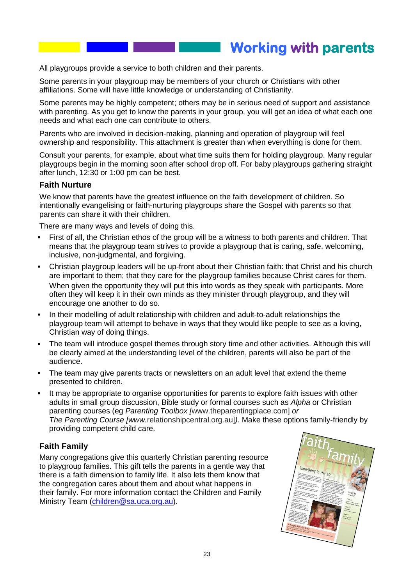## **Working with parents**

All playgroups provide a service to both children and their parents.

Some parents in your playgroup may be members of your church or Christians with other affiliations. Some will have little knowledge or understanding of Christianity.

Some parents may be highly competent; others may be in serious need of support and assistance with parenting. As you get to know the parents in your group, you will get an idea of what each one needs and what each one can contribute to others.

Parents who are involved in decision-making, planning and operation of playgroup will feel ownership and responsibility. This attachment is greater than when everything is done for them.

Consult your parents, for example, about what time suits them for holding playgroup. Many regular playgroups begin in the morning soon after school drop off. For baby playgroups gathering straight after lunch, 12:30 or 1:00 pm can be best.

#### **Faith Nurture**

We know that parents have the greatest influence on the faith development of children. So intentionally evangelising or faith-nurturing playgroups share the Gospel with parents so that parents can share it with their children.

There are many ways and levels of doing this.

- First of all, the Christian ethos of the group will be a witness to both parents and children. That means that the playgroup team strives to provide a playgroup that is caring, safe, welcoming, inclusive, non-judgmental, and forgiving.
- Christian playgroup leaders will be up-front about their Christian faith: that Christ and his church are important to them; that they care for the playgroup families because Christ cares for them. When given the opportunity they will put this into words as they speak with participants. More often they will keep it in their own minds as they minister through playgroup, and they will encourage one another to do so.
- In their modelling of adult relationship with children and adult-to-adult relationships the playgroup team will attempt to behave in ways that they would like people to see as a loving, Christian way of doing things.
- The team will introduce gospel themes through story time and other activities. Although this will be clearly aimed at the understanding level of the children, parents will also be part of the audience.
- The team may give parents tracts or newsletters on an adult level that extend the theme presented to children.
- It may be appropriate to organise opportunities for parents to explore faith issues with other adults in small group discussion, Bible study or formal courses such as *Alpha* or Christian parenting courses (eg *Parenting Toolbox [*www.theparentingplace.com] *or The Parenting Course [www.*relationshipcentral.org.au]*).* Make these options family-friendly by providing competent child care.

### **Faith Family**

Many congregations give this quarterly Christian parenting resource to playgroup families. This gift tells the parents in a gentle way that there is a faith dimension to family life. It also lets them know that the congregation cares about them and about what happens in their family. For more information contact the Children and Family Ministry Team [\(children@sa.uca.org.au\)](mailto:children@sa.uca.org.au).

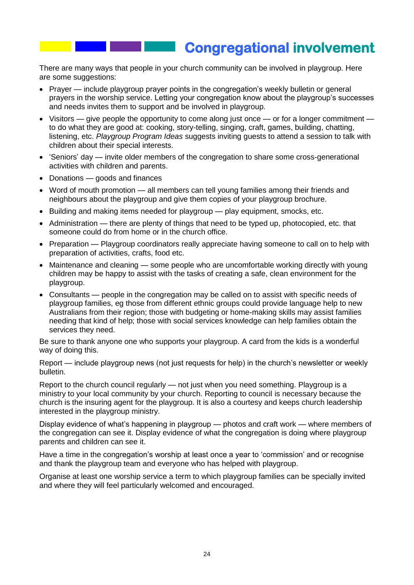## **Congregational involvement**

There are many ways that people in your church community can be involved in playgroup. Here are some suggestions:

- Prayer include playgroup prayer points in the congregation's weekly bulletin or general prayers in the worship service. Letting your congregation know about the playgroup's successes and needs invites them to support and be involved in playgroup.
- $\bullet$  Visitors give people the opportunity to come along just once or for a longer commitment to do what they are good at: cooking, story-telling, singing, craft, games, building, chatting, listening, etc. *Playgroup Program Ideas* suggests inviting guests to attend a session to talk with children about their special interests.
- 'Seniors' day invite older members of the congregation to share some cross-generational activities with children and parents.
- Donations goods and finances
- Word of mouth promotion all members can tell young families among their friends and neighbours about the playgroup and give them copies of your playgroup brochure.
- Building and making items needed for playgroup play equipment, smocks, etc.
- $\bullet$  Administration there are plenty of things that need to be typed up, photocopied, etc. that someone could do from home or in the church office.
- Preparation Playgroup coordinators really appreciate having someone to call on to help with preparation of activities, crafts, food etc.
- Maintenance and cleaning some people who are uncomfortable working directly with young children may be happy to assist with the tasks of creating a safe, clean environment for the playgroup.
- Consultants people in the congregation may be called on to assist with specific needs of playgroup families, eg those from different ethnic groups could provide language help to new Australians from their region; those with budgeting or home-making skills may assist families needing that kind of help; those with social services knowledge can help families obtain the services they need.

Be sure to thank anyone one who supports your playgroup. A card from the kids is a wonderful way of doing this.

Report — include playgroup news (not just requests for help) in the church's newsletter or weekly bulletin.

Report to the church council regularly — not just when you need something. Playgroup is a ministry to your local community by your church. Reporting to council is necessary because the church is the insuring agent for the playgroup. It is also a courtesy and keeps church leadership interested in the playgroup ministry.

Display evidence of what's happening in playgroup — photos and craft work — where members of the congregation can see it. Display evidence of what the congregation is doing where playgroup parents and children can see it.

Have a time in the congregation's worship at least once a year to 'commission' and or recognise and thank the playgroup team and everyone who has helped with playgroup.

Organise at least one worship service a term to which playgroup families can be specially invited and where they will feel particularly welcomed and encouraged.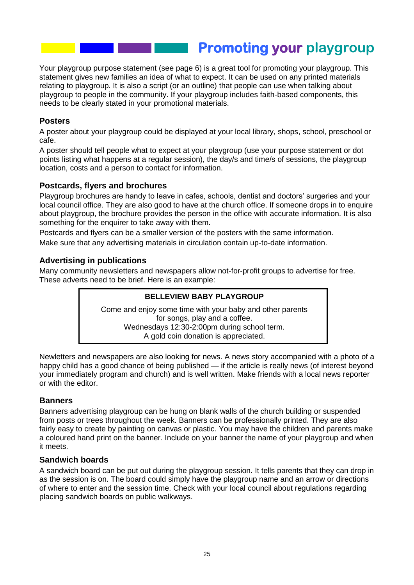## **Promoting your playgroup**

Your playgroup purpose statement (see page 6) is a great tool for promoting your playgroup. This statement gives new families an idea of what to expect. It can be used on any printed materials relating to playgroup. It is also a script (or an outline) that people can use when talking about playgroup to people in the community. If your playgroup includes faith-based components, this needs to be clearly stated in your promotional materials.

### **Posters**

A poster about your playgroup could be displayed at your local library, shops, school, preschool or cafe.

A poster should tell people what to expect at your playgroup (use your purpose statement or dot points listing what happens at a regular session), the day/s and time/s of sessions, the playgroup location, costs and a person to contact for information.

### **Postcards, flyers and brochures**

Playgroup brochures are handy to leave in cafes, schools, dentist and doctors' surgeries and your local council office. They are also good to have at the church office. If someone drops in to enquire about playgroup, the brochure provides the person in the office with accurate information. It is also something for the enquirer to take away with them.

Postcards and flyers can be a smaller version of the posters with the same information. Make sure that any advertising materials in circulation contain up-to-date information.

### **Advertising in publications**

Many community newsletters and newspapers allow not-for-profit groups to advertise for free. These adverts need to be brief. Here is an example:

#### **BELLEVIEW BABY PLAYGROUP**

Come and enjoy some time with your baby and other parents for songs, play and a coffee. Wednesdays 12:30-2:00pm during school term. A gold coin donation is appreciated.

Newletters and newspapers are also looking for news. A news story accompanied with a photo of a happy child has a good chance of being published — if the article is really news (of interest beyond your immediately program and church) and is well written. Make friends with a local news reporter or with the editor.

#### **Banners**

Banners advertising playgroup can be hung on blank walls of the church building or suspended from posts or trees throughout the week. Banners can be professionally printed. They are also fairly easy to create by painting on canvas or plastic. You may have the children and parents make a coloured hand print on the banner. Include on your banner the name of your playgroup and when it meets.

#### **Sandwich boards**

A sandwich board can be put out during the playgroup session. It tells parents that they can drop in as the session is on. The board could simply have the playgroup name and an arrow or directions of where to enter and the session time. Check with your local council about regulations regarding placing sandwich boards on public walkways.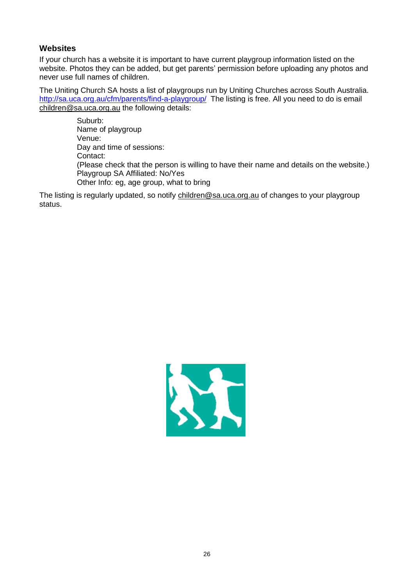### **Websites**

If your church has a website it is important to have current playgroup information listed on the website. Photos they can be added, but get parents' permission before uploading any photos and never use full names of children.

The Uniting Church SA hosts a list of playgroups run by Uniting Churches across South Australia. <http://sa.uca.org.au/cfm/parents/find-a-playgroup/>The listing is free. All you need to do is email [children@sa.uca.org.au](mailto:children@sa.uca.org.au) the following details:

> Suburb: Name of playgroup Venue: Day and time of sessions: Contact: (Please check that the person is willing to have their name and details on the website.) Playgroup SA Affiliated: No/Yes Other Info: eg, age group, what to bring

The listing is regularly updated, so notify [children@sa.uca.org.au](mailto:children@sa.uca.org.au) of changes to your playgroup status.

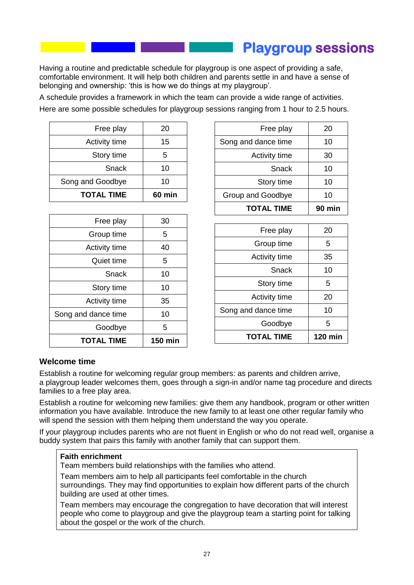## **Playgroup sessions**

Having a routine and predictable schedule for playgroup is one aspect of providing a safe, comfortable environment. It will help both children and parents settle in and have a sense of belonging and ownership: 'this is how we do things at my playgroup'.

A schedule provides a framework in which the team can provide a wide range of activities.

Here are some possible schedules for playgroup sessions ranging from 1 hour to 2.5 hours.

| Free play         | 20     |
|-------------------|--------|
| Activity time     | 15     |
| Story time        | 5      |
| Snack             | 10     |
| Song and Goodbye  | 10     |
| <b>TOTAL TIME</b> | 60 min |

| Goodbye              | 5  |
|----------------------|----|
| Song and dance time  | 10 |
| <b>Activity time</b> | 35 |
| Story time           | 10 |
| Snack                | 10 |
| Quiet time           | 5  |
| <b>Activity time</b> | 40 |
| Group time           | 5  |
| Free play            | 30 |

| <b>TOTAL TIME</b>    | $90 \text{ min}$ |
|----------------------|------------------|
| Group and Goodbye    | 10               |
| Story time           | 10               |
| Snack                | 10               |
| <b>Activity time</b> | 30               |
| Song and dance time  | 10               |
| Free play            | 20               |
|                      |                  |

| <b>TOTAL TIME</b>    | 120 min |
|----------------------|---------|
| Goodbye              | 5       |
| Song and dance time  | 10      |
| <b>Activity time</b> | 20      |
| Story time           | 5       |
| Snack                | 10      |
| <b>Activity time</b> | 35      |
| Group time           | 5       |
| Free play            | 20      |
|                      |         |

### **Welcome time**

Establish a routine for welcoming regular group members: as parents and children arrive, a playgroup leader welcomes them, goes through a sign-in and/or name tag procedure and directs families to a free play area.

Establish a routine for welcoming new families: give them any handbook, program or other written information you have available. Introduce the new family to at least one other regular family who will spend the session with them helping them understand the way you operate.

If your playgroup includes parents who are not fluent in English or who do not read well, organise a buddy system that pairs this family with another family that can support them.

#### **Faith enrichment**

Team members build relationships with the families who attend.

Team members aim to help all participants feel comfortable in the church surroundings. They may find opportunities to explain how different parts of the church building are used at other times.

Team members may encourage the congregation to have decoration that will interest people who come to playgroup and give the playgroup team a starting point for talking about the gospel or the work of the church.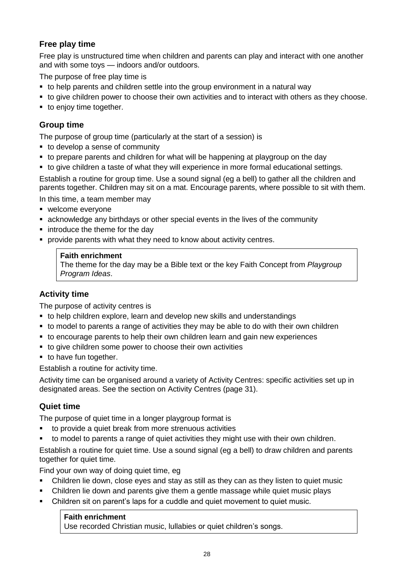## **Free play time**

Free play is unstructured time when children and parents can play and interact with one another and with some toys — indoors and/or outdoors.

The purpose of free play time is

- to help parents and children settle into the group environment in a natural way
- to give children power to choose their own activities and to interact with others as they choose.
- to enjoy time together.

## **Group time**

The purpose of group time (particularly at the start of a session) is

- to develop a sense of community
- to prepare parents and children for what will be happening at playgroup on the day
- to give children a taste of what they will experience in more formal educational settings.

Establish a routine for group time. Use a sound signal (eg a bell) to gather all the children and parents together. Children may sit on a mat. Encourage parents, where possible to sit with them.

In this time, a team member may

- welcome everyone
- acknowledge any birthdays or other special events in the lives of the community
- **•** introduce the theme for the day
- **provide parents with what they need to know about activity centres.**

#### **Faith enrichment**

The theme for the day may be a Bible text or the key Faith Concept from *Playgroup Program Ideas*.

## **Activity time**

The purpose of activity centres is

- to help children explore, learn and develop new skills and understandings
- to model to parents a range of activities they may be able to do with their own children
- to encourage parents to help their own children learn and gain new experiences
- to give children some power to choose their own activities
- to have fun together.

Establish a routine for activity time.

Activity time can be organised around a variety of Activity Centres: specific activities set up in designated areas. See the section on Activity Centres (page 31).

## **Quiet time**

The purpose of quiet time in a longer playgroup format is

- to provide a quiet break from more strenuous activities
- to model to parents a range of quiet activities they might use with their own children.

Establish a routine for quiet time. Use a sound signal (eg a bell) to draw children and parents together for quiet time.

Find your own way of doing quiet time, eg

- Children lie down, close eyes and stay as still as they can as they listen to quiet music
- Children lie down and parents give them a gentle massage while quiet music plays
- Children sit on parent's laps for a cuddle and quiet movement to quiet music.

### **Faith enrichment**

Use recorded Christian music, lullabies or quiet children's songs.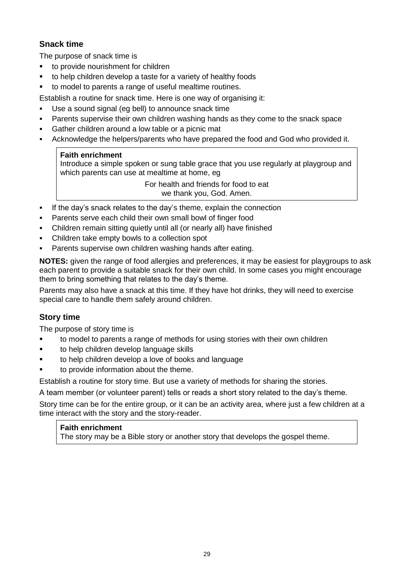## **Snack time**

The purpose of snack time is

- **to provide nourishment for children**
- to help children develop a taste for a variety of healthy foods
- to model to parents a range of useful mealtime routines.

Establish a routine for snack time. Here is one way of organising it:

- Use a sound signal (eg bell) to announce snack time
- Parents supervise their own children washing hands as they come to the snack space
- Gather children around a low table or a picnic mat
- Acknowledge the helpers/parents who have prepared the food and God who provided it.

### **Faith enrichment**

Introduce a simple spoken or sung table grace that you use regularly at playgroup and which parents can use at mealtime at home, eg

> For health and friends for food to eat we thank you, God. Amen.

- If the day's snack relates to the day's theme, explain the connection
- Parents serve each child their own small bowl of finger food
- Children remain sitting quietly until all (or nearly all) have finished
- Children take empty bowls to a collection spot
- Parents supervise own children washing hands after eating.

**NOTES:** given the range of food allergies and preferences, it may be easiest for playgroups to ask each parent to provide a suitable snack for their own child. In some cases you might encourage them to bring something that relates to the day's theme.

Parents may also have a snack at this time. If they have hot drinks, they will need to exercise special care to handle them safely around children.

## **Story time**

The purpose of story time is

- to model to parents a range of methods for using stories with their own children
- **to help children develop language skills**
- to help children develop a love of books and language
- to provide information about the theme.

Establish a routine for story time. But use a variety of methods for sharing the stories.

A team member (or volunteer parent) tells or reads a short story related to the day's theme.

Story time can be for the entire group, or it can be an activity area, where just a few children at a time interact with the story and the story-reader.

#### **Faith enrichment**

The story may be a Bible story or another story that develops the gospel theme.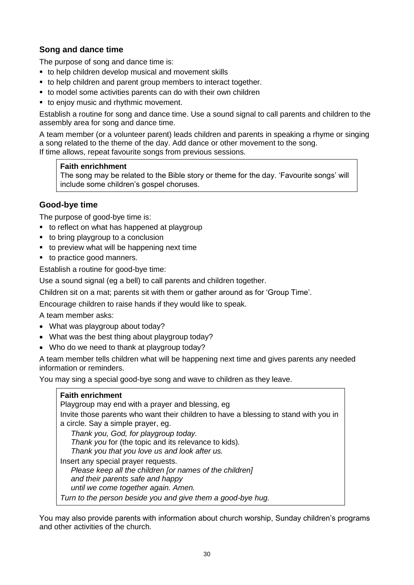## **Song and dance time**

The purpose of song and dance time is:

- to help children develop musical and movement skills
- to help children and parent group members to interact together.
- to model some activities parents can do with their own children
- to enjoy music and rhythmic movement.

Establish a routine for song and dance time. Use a sound signal to call parents and children to the assembly area for song and dance time.

A team member (or a volunteer parent) leads children and parents in speaking a rhyme or singing a song related to the theme of the day. Add dance or other movement to the song. If time allows, repeat favourite songs from previous sessions.

#### **Faith enrichhment**

The song may be related to the Bible story or theme for the day. 'Favourite songs' will include some children's gospel choruses.

## **Good-bye time**

The purpose of good-bye time is:

- to reflect on what has happened at playgroup
- to bring playgroup to a conclusion
- to preview what will be happening next time
- to practice good manners.

Establish a routine for good-bye time:

Use a sound signal (eg a bell) to call parents and children together.

Children sit on a mat; parents sit with them or gather around as for 'Group Time'.

Encourage children to raise hands if they would like to speak.

A team member asks:

- What was playgroup about today?
- What was the best thing about playgroup today?
- Who do we need to thank at playgroup today?

A team member tells children what will be happening next time and gives parents any needed information or reminders.

You may sing a special good-bye song and wave to children as they leave.

| <b>Faith enrichment</b>                                                                                                                                                                                                                  |
|------------------------------------------------------------------------------------------------------------------------------------------------------------------------------------------------------------------------------------------|
| Playgroup may end with a prayer and blessing, eg                                                                                                                                                                                         |
| Invite those parents who want their children to have a blessing to stand with you in<br>a circle. Say a simple prayer, eg.                                                                                                               |
| Thank you, God, for playgroup today.<br>Thank you for (the topic and its relevance to kids).<br>Thank you that you love us and look after us.                                                                                            |
| Insert any special prayer requests.<br>Please keep all the children for names of the children]<br>and their parents safe and happy<br>until we come together again. Amen.<br>Turn to the person beside you and give them a good-bye hug. |

You may also provide parents with information about church worship, Sunday children's programs and other activities of the church.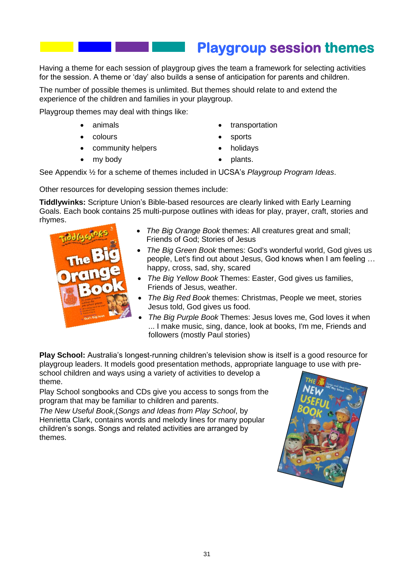# **Playgroup session themes**

Having a theme for each session of playgroup gives the team a framework for selecting activities for the session. A theme or 'day' also builds a sense of anticipation for parents and children.

The number of possible themes is unlimited. But themes should relate to and extend the experience of the children and families in your playgroup.

Playgroup themes may deal with things like:

- animals
- colours
- community helpers
- my body
- transportation
- sports
- holidays
- plants.

See Appendix ½ for a scheme of themes included in UCSA's *Playgroup Program Ideas*.

Other resources for developing session themes include:

**Tiddlywinks:** Scripture Union's Bible-based resources are clearly linked with Early Learning Goals. Each book contains 25 multi-purpose outlines with ideas for play, prayer, craft, stories and rhymes.

| The B                                                                                          |
|------------------------------------------------------------------------------------------------|
| rang                                                                                           |
| 25 multi-purs<br>putlines for<br>pre-school grou<br><b>AR OTHERS</b><br><b>COLUMN TWO</b><br>٠ |
| <b>Charles of the</b><br>God's big book                                                        |

- *The Big Orange Book* themes: All creatures great and small; Friends of God; Stories of Jesus
- *The Big Green Book* themes: God's wonderful world, God gives us people, Let's find out about Jesus, God knows when I am feeling … happy, cross, sad, shy, scared
- *The Big Yellow Book* Themes: Easter, God gives us families, Friends of Jesus, weather.
- *The Big Red Book* themes: Christmas, People we meet, stories Jesus told, God gives us food.
- *The Big Purple Book* Themes: Jesus loves me, God loves it when ... I make music, sing, dance, look at books, I'm me, Friends and followers (mostly Paul stories)

**Play School:** Australia's longest-running children's television show is itself is a good resource for playgroup leaders. It models good presentation methods, appropriate language to use with preschool children and ways using a variety of activities to develop a theme.

Play School songbooks and CDs give you access to songs from the program that may be familiar to children and parents.

*The New Useful Book,*(*Songs and Ideas from Play School*, by Henrietta Clark, contains words and melody lines for many popular children's songs. Songs and related activities are arranged by themes.

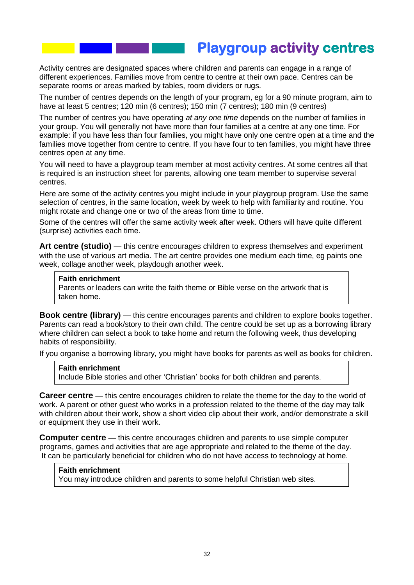## **Playgroup activity centres**

Activity centres are designated spaces where children and parents can engage in a range of different experiences. Families move from centre to centre at their own pace. Centres can be separate rooms or areas marked by tables, room dividers or rugs.

The number of centres depends on the length of your program, eg for a 90 minute program, aim to have at least 5 centres; 120 min (6 centres); 150 min (7 centres); 180 min (9 centres)

The number of centres you have operating *at any one time* depends on the number of families in your group. You will generally not have more than four families at a centre at any one time. For example: if you have less than four families, you might have only one centre open at a time and the families move together from centre to centre. If you have four to ten families, you might have three centres open at any time.

You will need to have a playgroup team member at most activity centres. At some centres all that is required is an instruction sheet for parents, allowing one team member to supervise several centres.

Here are some of the activity centres you might include in your playgroup program. Use the same selection of centres, in the same location, week by week to help with familiarity and routine. You might rotate and change one or two of the areas from time to time.

Some of the centres will offer the same activity week after week. Others will have quite different (surprise) activities each time.

**Art centre (studio)** — this centre encourages children to express themselves and experiment with the use of various art media. The art centre provides one medium each time, eg paints one week, collage another week, playdough another week.

#### **Faith enrichment**

Parents or leaders can write the faith theme or Bible verse on the artwork that is taken home.

**Book centre (library)** — this centre encourages parents and children to explore books together. Parents can read a book/story to their own child. The centre could be set up as a borrowing library where children can select a book to take home and return the following week, thus developing habits of responsibility.

If you organise a borrowing library, you might have books for parents as well as books for children.

#### **Faith enrichment**

Include Bible stories and other 'Christian' books for both children and parents.

**Career centre** — this centre encourages children to relate the theme for the day to the world of work. A parent or other guest who works in a profession related to the theme of the day may talk with children about their work, show a short video clip about their work, and/or demonstrate a skill or equipment they use in their work.

**Computer centre** — this centre encourages children and parents to use simple computer programs, games and activities that are age appropriate and related to the theme of the day. It can be particularly beneficial for children who do not have access to technology at home.

#### **Faith enrichment**

You may introduce children and parents to some helpful Christian web sites.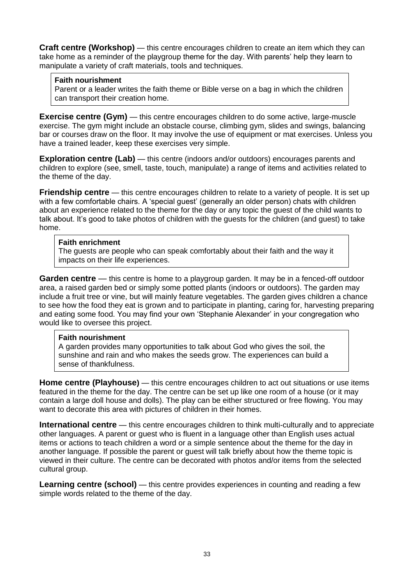**Craft centre (Workshop)** — this centre encourages children to create an item which they can take home as a reminder of the playgroup theme for the day. With parents' help they learn to manipulate a variety of craft materials, tools and techniques.

#### **Faith nourishment**

Parent or a leader writes the faith theme or Bible verse on a bag in which the children can transport their creation home.

**Exercise centre (Gym)** — this centre encourages children to do some active, large-muscle exercise. The gym might include an obstacle course, climbing gym, slides and swings, balancing bar or courses draw on the floor. It may involve the use of equipment or mat exercises. Unless you have a trained leader, keep these exercises very simple.

**Exploration centre (Lab)** — this centre (indoors and/or outdoors) encourages parents and children to explore (see, smell, taste, touch, manipulate) a range of items and activities related to the theme of the day.

**Friendship centre** — this centre encourages children to relate to a variety of people. It is set up with a few comfortable chairs. A 'special guest' (generally an older person) chats with children about an experience related to the theme for the day or any topic the guest of the child wants to talk about. It's good to take photos of children with the guests for the children (and guest) to take home.

#### **Faith enrichment**

The guests are people who can speak comfortably about their faith and the way it impacts on their life experiences.

**Garden centre** — this centre is home to a playgroup garden. It may be in a fenced-off outdoor area, a raised garden bed or simply some potted plants (indoors or outdoors). The garden may include a fruit tree or vine, but will mainly feature vegetables. The garden gives children a chance to see how the food they eat is grown and to participate in planting, caring for, harvesting preparing and eating some food. You may find your own 'Stephanie Alexander' in your congregation who would like to oversee this project.

#### **Faith nourishment**

A garden provides many opportunities to talk about God who gives the soil, the sunshine and rain and who makes the seeds grow. The experiences can build a sense of thankfulness.

**Home centre (Playhouse)** — this centre encourages children to act out situations or use items featured in the theme for the day. The centre can be set up like one room of a house (or it may contain a large doll house and dolls). The play can be either structured or free flowing. You may want to decorate this area with pictures of children in their homes.

**International centre** — this centre encourages children to think multi-culturally and to appreciate other languages. A parent or guest who is fluent in a language other than English uses actual items or actions to teach children a word or a simple sentence about the theme for the day in another language. If possible the parent or guest will talk briefly about how the theme topic is viewed in their culture. The centre can be decorated with photos and/or items from the selected cultural group.

**Learning centre (school)** — this centre provides experiences in counting and reading a few simple words related to the theme of the day.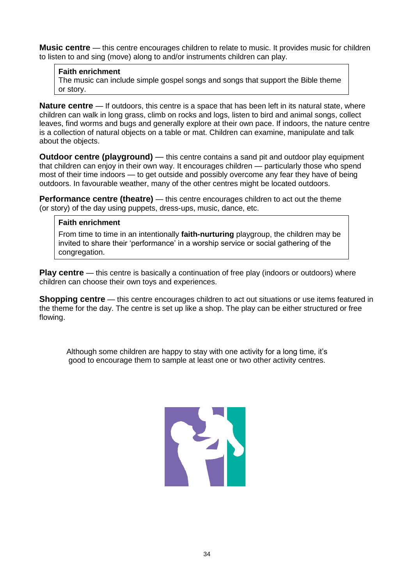**Music centre** — this centre encourages children to relate to music. It provides music for children to listen to and sing (move) along to and/or instruments children can play.

#### **Faith enrichment**

The music can include simple gospel songs and songs that support the Bible theme or story.

**Nature centre** — If outdoors, this centre is a space that has been left in its natural state, where children can walk in long grass, climb on rocks and logs, listen to bird and animal songs, collect leaves, find worms and bugs and generally explore at their own pace. If indoors, the nature centre is a collection of natural objects on a table or mat. Children can examine, manipulate and talk about the objects.

**Outdoor centre (playground)** — this centre contains a sand pit and outdoor play equipment that children can enjoy in their own way. It encourages children — particularly those who spend most of their time indoors — to get outside and possibly overcome any fear they have of being outdoors. In favourable weather, many of the other centres might be located outdoors.

**Performance centre (theatre)** — this centre encourages children to act out the theme (or story) of the day using puppets, dress-ups, music, dance, etc.

#### **Faith enrichment**

From time to time in an intentionally **faith-nurturing** playgroup, the children may be invited to share their 'performance' in a worship service or social gathering of the congregation.

**Play centre** — this centre is basically a continuation of free play (indoors or outdoors) where children can choose their own toys and experiences.

**Shopping centre** — this centre encourages children to act out situations or use items featured in the theme for the day. The centre is set up like a shop. The play can be either structured or free flowing.

Although some children are happy to stay with one activity for a long time, it's good to encourage them to sample at least one or two other activity centres.

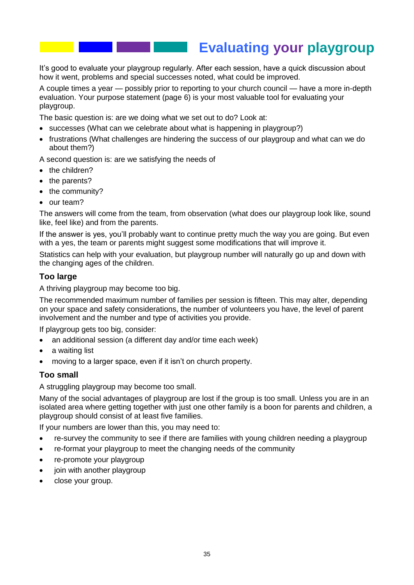## **Evaluating your playgroup**

It's good to evaluate your playgroup regularly. After each session, have a quick discussion about how it went, problems and special successes noted, what could be improved.

A couple times a year — possibly prior to reporting to your church council — have a more in-depth evaluation. Your purpose statement (page 6) is your most valuable tool for evaluating your playgroup.

The basic question is: are we doing what we set out to do? Look at:

- successes (What can we celebrate about what is happening in playgroup?)
- frustrations (What challenges are hindering the success of our playgroup and what can we do about them?)

A second question is: are we satisfying the needs of

- the children?
- the parents?
- the community?
- our team?

The answers will come from the team, from observation (what does our playgroup look like, sound like, feel like) and from the parents.

If the answer is yes, you'll probably want to continue pretty much the way you are going. But even with a yes, the team or parents might suggest some modifications that will improve it.

Statistics can help with your evaluation, but playgroup number will naturally go up and down with the changing ages of the children.

#### **Too large**

A thriving playgroup may become too big.

The recommended maximum number of families per session is fifteen. This may alter, depending on your space and safety considerations, the number of volunteers you have, the level of parent involvement and the number and type of activities you provide.

If playgroup gets too big, consider:

- an additional session (a different day and/or time each week)
- a waiting list
- moving to a larger space, even if it isn't on church property.

#### **Too small**

A struggling playgroup may become too small.

Many of the social advantages of playgroup are lost if the group is too small. Unless you are in an isolated area where getting together with just one other family is a boon for parents and children, a playgroup should consist of at least five families.

If your numbers are lower than this, you may need to:

- re-survey the community to see if there are families with young children needing a playgroup
- re-format your playgroup to meet the changing needs of the community
- re-promote your playgroup
- join with another playgroup
- close your group.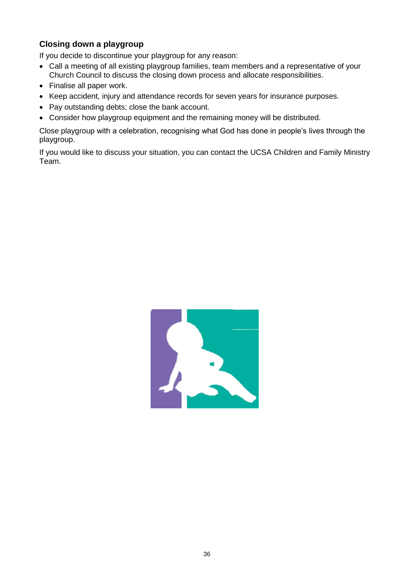## **Closing down a playgroup**

If you decide to discontinue your playgroup for any reason:

- Call a meeting of all existing playgroup families, team members and a representative of your Church Council to discuss the closing down process and allocate responsibilities.
- Finalise all paper work.
- Keep accident, injury and attendance records for seven years for insurance purposes.
- Pay outstanding debts; close the bank account.
- Consider how playgroup equipment and the remaining money will be distributed.

Close playgroup with a celebration, recognising what God has done in people's lives through the playgroup.

If you would like to discuss your situation, you can contact the UCSA Children and Family Ministry Team.

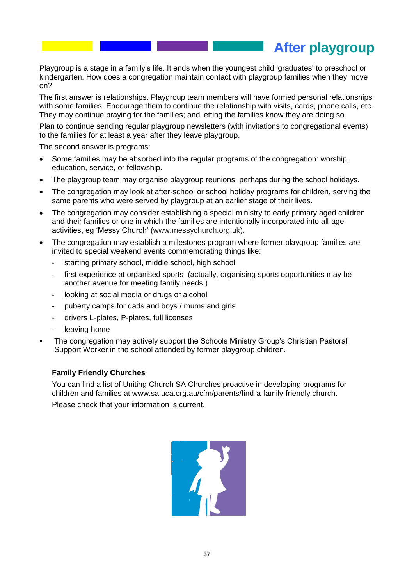**After playgroup**

Playgroup is a stage in a family's life. It ends when the youngest child 'graduates' to preschool or kindergarten. How does a congregation maintain contact with playgroup families when they move on?

The first answer is relationships. Playgroup team members will have formed personal relationships with some families. Encourage them to continue the relationship with visits, cards, phone calls, etc. They may continue praying for the families; and letting the families know they are doing so.

Plan to continue sending regular playgroup newsletters (with invitations to congregational events) to the families for at least a year after they leave playgroup.

The second answer is programs:

- Some families may be absorbed into the regular programs of the congregation: worship, education, service, or fellowship.
- The playgroup team may organise playgroup reunions, perhaps during the school holidays.
- The congregation may look at after-school or school holiday programs for children, serving the same parents who were served by playgroup at an earlier stage of their lives.
- The congregation may consider establishing a special ministry to early primary aged children and their families or one in which the families are intentionally incorporated into all-age activities, eg 'Messy Church' (www.messychurch.org.uk).
- The congregation may establish a milestones program where former playgroup families are invited to special weekend events commemorating things like:
	- starting primary school, middle school, high school
	- first experience at organised sports (actually, organising sports opportunities may be another avenue for meeting family needs!)
	- looking at social media or drugs or alcohol
	- puberty camps for dads and boys / mums and girls
	- drivers L-plates, P-plates, full licenses
	- leaving home
- The congregation may actively support the Schools Ministry Group's Christian Pastoral Support Worker in the school attended by former playgroup children.

#### **Family Friendly Churches**

You can find a list of Uniting Church SA Churches proactive in developing programs for children and families at www.sa.uca.org.au/cfm/parents/find-a-family-friendly church. Please check that your information is current.

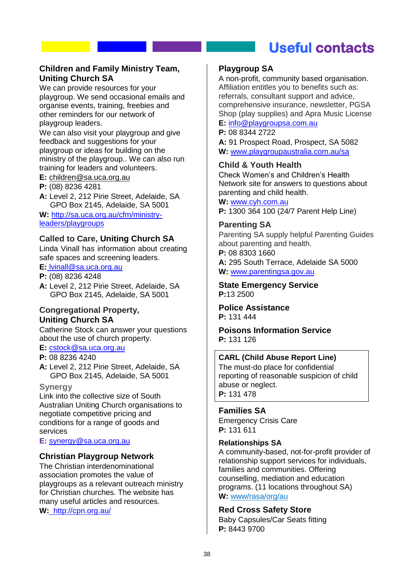## **Useful contacts**

### **Children and Family Ministry Team, Uniting Church SA**

We can provide resources for your playgroup. We send occasional emails and organise events, training, freebies and other reminders for our network of playgroup leaders.

We can also visit your playgroup and give feedback and suggestions for your playgroup or ideas for building on the ministry of the playgroup.. We can also run training for leaders and volunteers.

**E:** childre[n@sa.uca.org.au](mailto:hharding@sa.uca.org.au)

**P:** (08) 8236 4281

**A:** Level 2, 212 Pirie Street, Adelaide, SA GPO Box 2145, Adelaide, SA 5001

**W:** [http://sa.uca.org.au/cfm/ministry](http://sa.uca.org.au/cfm/ministry-leaders/playgroups)[leaders/playgroups](http://sa.uca.org.au/cfm/ministry-leaders/playgroups)

### **Called to Care, Uniting Church SA**

Linda Vinall has information about creating safe spaces and screening leaders.

**E:** [lvinall@sa.uca.org.au](mailto:lvinall@sa.uca.org.au)

**P:** (08) 8236 4248

**A:** Level 2, 212 Pirie Street, Adelaide, SA GPO Box 2145, Adelaide, SA 5001

#### **Congregational Property, Uniting Church SA**

Catherine Stock can answer your questions about the use of church property.

## **E:** [cstock@sa.uca.org.au](mailto:cstock@sa.uca.org.au)

**P:** 08 8236 4240

**A:** Level 2, 212 Pirie Street, Adelaide, SA GPO Box 2145, Adelaide, SA 5001

#### **Synergy**

Link into the collective size of South Australian Uniting Church organisations to negotiate competitive pricing and conditions for a range of goods and services

**E:** [synergy@sa.uca.org.au](mailto:synergy@sa.uca.org.au)

#### **Christian Playgroup Network**

The Christian interdenominational association promotes the value of playgroups as a relevant outreach ministry for Christian churches. The website has many useful articles and resources.

**W:** http://cpn.org.au/

#### **Playgroup SA**

A non-profit, community based organisation. Affiliation entitles you to benefits such as: referrals, consultant support and advice, comprehensive insurance, newsletter, PGSA Shop (play supplies) and Apra Music License **E:** [info@playgroupsa.com.au](mailto:info@playgroupsa.com.au)

**P:** 08 8344 2722

**A:** 91 Prospect Road, Prospect, SA 5082 **W:** www.playgroupaustralia.com.au/sa

#### **Child & Youth Health**

Check Women's and Children's Health Network site for answers to questions about parenting and child health.

**W:** [www.cyh.com.au](http://www.cyh.com.au/)

**P:** 1300 364 100 (24/7 Parent Help Line)

#### **Parenting SA**

Parenting SA supply helpful Parenting Guides about parenting and health. **P:** 08 8303 1660

**A:** 295 South Terrace, Adelaide SA 5000 **W:** [www.parentingsa.gov.au](http://www.parentingsa.gov.au/)

**State Emergency Service P:**13 2500

**Police Assistance P:** 131 444

**Poisons Information Service P:** 131 126

#### **CARL (Child Abuse Report Line)**

The must-do place for confidential reporting of reasonable suspicion of child abuse or neglect. **P:** 131 478

#### **Families SA**

Emergency Crisis Care **P:** 131 611

#### **Relationships SA**

A community-based, not-for-profit provider of relationship support services for individuals, families and communities. Offering counselling, mediation and education programs. (11 locations throughout SA) **W:** www/rasa/org/au

#### **Red Cross Safety Store**

Baby Capsules/Car Seats fitting **P:** 8443 9700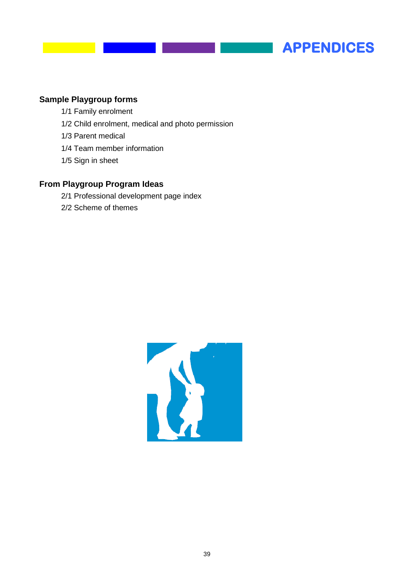

## **Sample Playgroup forms**

- 1/1 Family enrolment
- 1/2 Child enrolment, medical and photo permission
- 1/3 Parent medical
- 1/4 Team member information
- 1/5 Sign in sheet

## **From Playgroup Program Ideas**

- 2/1 Professional development page index
- 2/2 Scheme of themes

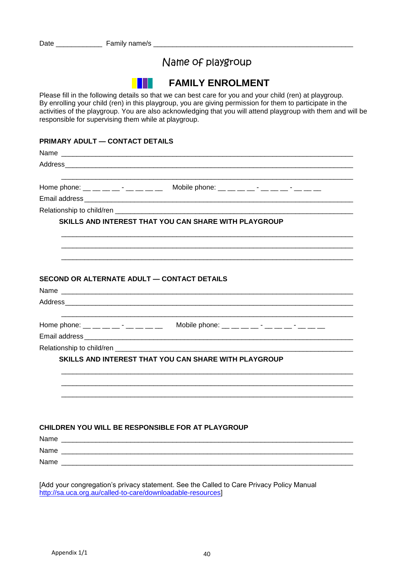|                           | Name of playgroup                                                                                                                                                                                                                                                                                                                                                                             |
|---------------------------|-----------------------------------------------------------------------------------------------------------------------------------------------------------------------------------------------------------------------------------------------------------------------------------------------------------------------------------------------------------------------------------------------|
|                           | <b>FAMILY ENROLMENT</b>                                                                                                                                                                                                                                                                                                                                                                       |
|                           | Please fill in the following details so that we can best care for you and your child (ren) at playgroup.<br>By enrolling your child (ren) in this playgroup, you are giving permission for them to participate in the<br>activities of the playgroup. You are also acknowledging that you will attend playgroup with them and will be<br>responsible for supervising them while at playgroup. |
|                           | PRIMARY ADULT - CONTACT DETAILS                                                                                                                                                                                                                                                                                                                                                               |
|                           |                                                                                                                                                                                                                                                                                                                                                                                               |
|                           |                                                                                                                                                                                                                                                                                                                                                                                               |
|                           | Home phone: __ __ __ __ - __ __ __ Mobile phone: __ __ __ __ -_ __ __ -_ __ __ __                                                                                                                                                                                                                                                                                                             |
|                           |                                                                                                                                                                                                                                                                                                                                                                                               |
|                           |                                                                                                                                                                                                                                                                                                                                                                                               |
|                           | SKILLS AND INTEREST THAT YOU CAN SHARE WITH PLAYGROUP                                                                                                                                                                                                                                                                                                                                         |
|                           |                                                                                                                                                                                                                                                                                                                                                                                               |
|                           |                                                                                                                                                                                                                                                                                                                                                                                               |
|                           |                                                                                                                                                                                                                                                                                                                                                                                               |
|                           | SECOND OR ALTERNATE ADULT - CONTACT DETAILS                                                                                                                                                                                                                                                                                                                                                   |
|                           |                                                                                                                                                                                                                                                                                                                                                                                               |
|                           |                                                                                                                                                                                                                                                                                                                                                                                               |
|                           | Mobile phone: __ __ __ __ -_ -_ __ __ -_ __ -_ __ __<br>Home phone: __ __ __ __ - __ __ __ __                                                                                                                                                                                                                                                                                                 |
|                           |                                                                                                                                                                                                                                                                                                                                                                                               |
| Relationship to child/ren |                                                                                                                                                                                                                                                                                                                                                                                               |
|                           | SKILLS AND INTEREST THAT YOU CAN SHARE WITH PLAYGROUP                                                                                                                                                                                                                                                                                                                                         |
|                           |                                                                                                                                                                                                                                                                                                                                                                                               |
|                           |                                                                                                                                                                                                                                                                                                                                                                                               |
|                           |                                                                                                                                                                                                                                                                                                                                                                                               |
|                           |                                                                                                                                                                                                                                                                                                                                                                                               |
|                           |                                                                                                                                                                                                                                                                                                                                                                                               |
|                           | CHILDREN YOU WILL BE RESPONSIBLE FOR AT PLAYGROUP                                                                                                                                                                                                                                                                                                                                             |
|                           |                                                                                                                                                                                                                                                                                                                                                                                               |
|                           |                                                                                                                                                                                                                                                                                                                                                                                               |
|                           |                                                                                                                                                                                                                                                                                                                                                                                               |
|                           |                                                                                                                                                                                                                                                                                                                                                                                               |
|                           | [Add your congregation's privacy statement. See the Called to Care Privacy Policy Manual                                                                                                                                                                                                                                                                                                      |
|                           | http://sa.uca.org.au/called-to-care/downloadable-resources]                                                                                                                                                                                                                                                                                                                                   |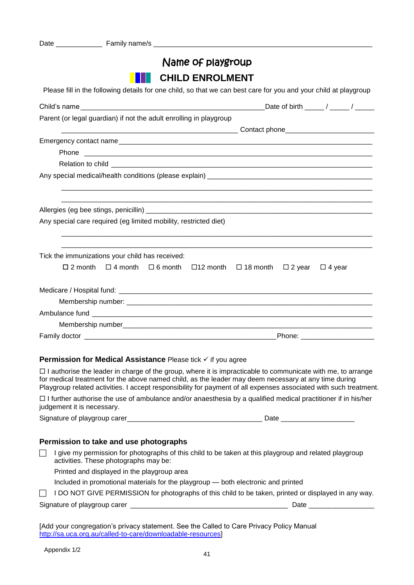| Name of playgroup                                                                                                                                                                                                                      |
|----------------------------------------------------------------------------------------------------------------------------------------------------------------------------------------------------------------------------------------|
| <b>CHILD ENROLMENT</b>                                                                                                                                                                                                                 |
| Please fill in the following details for one child, so that we can best care for you and your child at playgroup                                                                                                                       |
|                                                                                                                                                                                                                                        |
| Parent (or legal guardian) if not the adult enrolling in playgroup                                                                                                                                                                     |
|                                                                                                                                                                                                                                        |
|                                                                                                                                                                                                                                        |
|                                                                                                                                                                                                                                        |
|                                                                                                                                                                                                                                        |
|                                                                                                                                                                                                                                        |
|                                                                                                                                                                                                                                        |
|                                                                                                                                                                                                                                        |
|                                                                                                                                                                                                                                        |
| Any special care required (eg limited mobility, restricted diet)                                                                                                                                                                       |
|                                                                                                                                                                                                                                        |
| Tick the immunizations your child has received:                                                                                                                                                                                        |
| $\Box$ 2 month $\Box$ 4 month $\Box$ 6 month<br>$\square$ 12 month<br>$\Box$ 18 month<br>$\Box$ 2 year<br>$\Box$ 4 year                                                                                                                |
|                                                                                                                                                                                                                                        |
|                                                                                                                                                                                                                                        |
|                                                                                                                                                                                                                                        |
|                                                                                                                                                                                                                                        |
|                                                                                                                                                                                                                                        |
|                                                                                                                                                                                                                                        |
|                                                                                                                                                                                                                                        |
| <b>Permission for Medical Assistance Please tick √ if you agree</b>                                                                                                                                                                    |
| $\Box$ I authorise the leader in charge of the group, where it is impracticable to communicate with me, to arrange                                                                                                                     |
| for medical treatment for the above named child, as the leader may deem necessary at any time during                                                                                                                                   |
| Playgroup related activities. I accept responsibility for payment of all expenses associated with such treatment.<br>$\Box$ further outported the use of embulgase and/or encoethesis by a qualified modial prostitioner if in big/her |

 $\Box$  I further authorise the use of ambulance and/or anaesthesia by a qualified medical practitioner if in his/her judgement it is necessary.

Signature of playgroup carer\_\_\_\_\_\_\_\_\_\_\_\_\_\_\_\_\_\_\_\_\_\_\_\_\_\_\_\_\_\_\_\_\_\_\_ Date \_\_\_\_\_\_\_\_\_\_\_\_\_\_\_\_\_\_\_

#### **Permission to take and use photographs**

 $\Box$  I give my permission for photographs of this child to be taken at this playgroup and related playgroup activities. These photographs may be:

Printed and displayed in the playgroup area

| Included in promotional materials for the playgroup - both electronic and printed |  |
|-----------------------------------------------------------------------------------|--|
|-----------------------------------------------------------------------------------|--|

| ◯ IDO NOT GIVE PERMISSION for photographs of this child to be taken, printed or displayed in any way. |  |
|-------------------------------------------------------------------------------------------------------|--|
|                                                                                                       |  |

Signature of playgroup carer **Exercise 20** and the set of player of player  $\alpha$  and  $\beta$ 

[Add your congregation's privacy statement. See the Called to Care Privacy Policy Manual [http://sa.uca.org.au/called-to-care/downloadable-resources\]](http://sa.uca.org.au/called-to-care/downloadable-resources)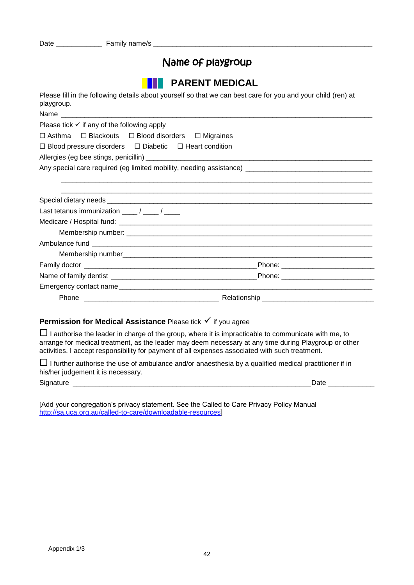## Name of playgroup

Please fill in the following details about yourself so that we can best care for you and your child (ren) at playgroup.

## **Permission for Medical Assistance** Please tick  $\checkmark$  if you agree

 $\Box$  I authorise the leader in charge of the group, where it is impracticable to communicate with me, to arrange for medical treatment, as the leader may deem necessary at any time during Playgroup or other activities. I accept responsibility for payment of all expenses associated with such treatment.

 $\Box$  I further authorise the use of ambulance and/or anaesthesia by a qualified medical practitioner if in his/her judgement it is necessary.

Signature \_\_\_\_\_\_\_\_\_\_\_\_\_\_\_\_\_\_\_\_\_\_\_\_\_\_\_\_\_\_\_\_\_\_\_\_\_\_\_\_\_\_\_\_\_\_\_\_\_\_\_\_\_\_\_\_\_\_\_\_\_\_Date \_\_\_\_\_\_\_\_\_\_\_\_

[Add your congregation's privacy statement. See the Called to Care Privacy Policy Manual [http://sa.uca.org.au/called-to-care/downloadable-resources\]](http://sa.uca.org.au/called-to-care/downloadable-resources)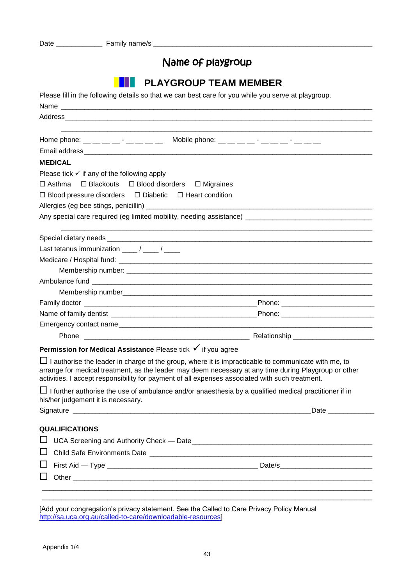## Name of playgroup

|                                                                                                                                                                                                                                                                                                                                                                                                  | <b>PLAYGROUP TEAM MEMBER</b>                                                                                                                                                                                                   |
|--------------------------------------------------------------------------------------------------------------------------------------------------------------------------------------------------------------------------------------------------------------------------------------------------------------------------------------------------------------------------------------------------|--------------------------------------------------------------------------------------------------------------------------------------------------------------------------------------------------------------------------------|
|                                                                                                                                                                                                                                                                                                                                                                                                  | Please fill in the following details so that we can best care for you while you serve at playgroup.                                                                                                                            |
|                                                                                                                                                                                                                                                                                                                                                                                                  |                                                                                                                                                                                                                                |
|                                                                                                                                                                                                                                                                                                                                                                                                  |                                                                                                                                                                                                                                |
|                                                                                                                                                                                                                                                                                                                                                                                                  |                                                                                                                                                                                                                                |
| Home phone: __ __ __ __ - __ __ __ Mobile phone: __ __ __ -_ -_ __ -_ -_ __ __ __                                                                                                                                                                                                                                                                                                                |                                                                                                                                                                                                                                |
|                                                                                                                                                                                                                                                                                                                                                                                                  |                                                                                                                                                                                                                                |
| <b>MEDICAL</b>                                                                                                                                                                                                                                                                                                                                                                                   |                                                                                                                                                                                                                                |
| Please tick $\checkmark$ if any of the following apply                                                                                                                                                                                                                                                                                                                                           |                                                                                                                                                                                                                                |
| $\Box$ Asthma<br>□ Blackouts □ Blood disorders □ Migraines                                                                                                                                                                                                                                                                                                                                       |                                                                                                                                                                                                                                |
| $\Box$ Blood pressure disorders $\Box$ Diabetic $\Box$ Heart condition                                                                                                                                                                                                                                                                                                                           |                                                                                                                                                                                                                                |
|                                                                                                                                                                                                                                                                                                                                                                                                  |                                                                                                                                                                                                                                |
|                                                                                                                                                                                                                                                                                                                                                                                                  |                                                                                                                                                                                                                                |
|                                                                                                                                                                                                                                                                                                                                                                                                  |                                                                                                                                                                                                                                |
| Last tetanus immunization $\frac{1}{\sqrt{1-\frac{1}{1-\frac{1}{1-\frac{1}{1-\frac{1}{1-\frac{1}{1-\frac{1}{1-\frac{1}{1-\frac{1}{1-\frac{1}{1-\frac{1}{1-\frac{1}{1-\frac{1}{1-\frac{1}{1-\frac{1}{1-\frac{1}{1-\frac{1}{1-\frac{1}{1-\frac{1}{1-\frac{1}{1-\frac{1}{1-\frac{1}{1-\frac{1}{1-\frac{1}{1-\frac{1}{1-\frac{1}{1-\frac{1}{1-\frac{1}{1-\frac{1}{1-\frac{1}{1-\frac{1}{1-\frac{1}{$ |                                                                                                                                                                                                                                |
|                                                                                                                                                                                                                                                                                                                                                                                                  |                                                                                                                                                                                                                                |
|                                                                                                                                                                                                                                                                                                                                                                                                  |                                                                                                                                                                                                                                |
|                                                                                                                                                                                                                                                                                                                                                                                                  |                                                                                                                                                                                                                                |
|                                                                                                                                                                                                                                                                                                                                                                                                  |                                                                                                                                                                                                                                |
|                                                                                                                                                                                                                                                                                                                                                                                                  |                                                                                                                                                                                                                                |
|                                                                                                                                                                                                                                                                                                                                                                                                  |                                                                                                                                                                                                                                |
|                                                                                                                                                                                                                                                                                                                                                                                                  |                                                                                                                                                                                                                                |
|                                                                                                                                                                                                                                                                                                                                                                                                  |                                                                                                                                                                                                                                |
| Permission for Medical Assistance Please tick V if you agree                                                                                                                                                                                                                                                                                                                                     |                                                                                                                                                                                                                                |
| activities. I accept responsibility for payment of all expenses associated with such treatment.                                                                                                                                                                                                                                                                                                  | $\Box$ I authorise the leader in charge of the group, where it is impracticable to communicate with me, to<br>arrange for medical treatment, as the leader may deem necessary at any time during Playgroup or other            |
| his/her judgement it is necessary.                                                                                                                                                                                                                                                                                                                                                               | $\Box$ I further authorise the use of ambulance and/or anaesthesia by a qualified medical practitioner if in                                                                                                                   |
|                                                                                                                                                                                                                                                                                                                                                                                                  |                                                                                                                                                                                                                                |
| <b>QUALIFICATIONS</b>                                                                                                                                                                                                                                                                                                                                                                            |                                                                                                                                                                                                                                |
|                                                                                                                                                                                                                                                                                                                                                                                                  |                                                                                                                                                                                                                                |
|                                                                                                                                                                                                                                                                                                                                                                                                  |                                                                                                                                                                                                                                |
|                                                                                                                                                                                                                                                                                                                                                                                                  |                                                                                                                                                                                                                                |
|                                                                                                                                                                                                                                                                                                                                                                                                  | Date/s and the state of the state of the state of the state of the state of the state of the state of the state of the state of the state of the state of the state of the state of the state of the state of the state of the |

 $\Box$  Other

[Add your congregation's privacy statement. See the Called to Care Privacy Policy Manual [http://sa.uca.org.au/called-to-care/downloadable-resources\]](http://sa.uca.org.au/called-to-care/downloadable-resources)

 $\_$  , and the set of the set of the set of the set of the set of the set of the set of the set of the set of the set of the set of the set of the set of the set of the set of the set of the set of the set of the set of th \_\_\_\_\_\_\_\_\_\_\_\_\_\_\_\_\_\_\_\_\_\_\_\_\_\_\_\_\_\_\_\_\_\_\_\_\_\_\_\_\_\_\_\_\_\_\_\_\_\_\_\_\_\_\_\_\_\_\_\_\_\_\_\_\_\_\_\_\_\_\_\_\_\_\_\_\_\_\_\_\_\_\_\_\_\_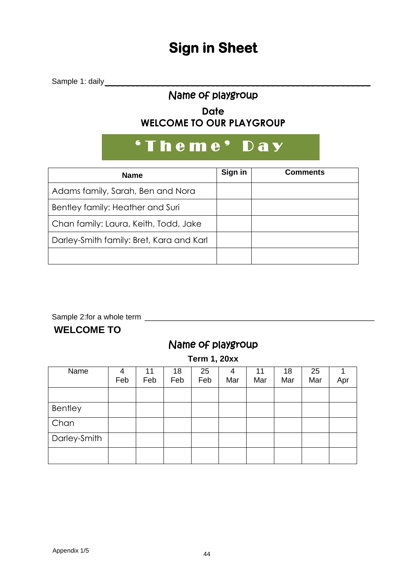# **Sign in Sheet**

Sample 1: daily \_\_\_\_\_\_\_\_\_\_\_\_\_\_\_\_\_\_\_\_\_\_\_\_\_\_\_\_\_\_\_\_\_\_\_\_\_\_\_\_\_\_\_\_\_\_\_\_\_\_\_\_\_

## Name of playgroup

## **Date WELCOME TO OUR PLAYGROUP**

# ' Theme' Day

| <b>Name</b>                              | Sign in | <b>Comments</b> |
|------------------------------------------|---------|-----------------|
| Adams family, Sarah, Ben and Nora        |         |                 |
| Bentley family: Heather and Suri         |         |                 |
| Chan family: Laura, Keith, Todd, Jake    |         |                 |
| Darley-Smith family: Bret, Kara and Karl |         |                 |
|                                          |         |                 |

Sample 2:for a whole term \_\_\_\_\_\_\_\_\_\_\_\_\_\_\_\_\_\_\_\_\_\_\_\_\_\_\_\_\_\_\_\_\_\_\_\_\_\_\_\_\_\_\_\_\_\_\_\_\_\_\_\_\_\_

## **WELCOME TO**

## Name of playgroup

**Term 1, 20xx**

| Name         | 4   | 11  | 18  | 25  | 4   | 11  | 18  | 25  |     |
|--------------|-----|-----|-----|-----|-----|-----|-----|-----|-----|
|              | Feb | Feb | Feb | Feb | Mar | Mar | Mar | Mar | Apr |
|              |     |     |     |     |     |     |     |     |     |
| Bentley      |     |     |     |     |     |     |     |     |     |
| Chan         |     |     |     |     |     |     |     |     |     |
| Darley-Smith |     |     |     |     |     |     |     |     |     |
|              |     |     |     |     |     |     |     |     |     |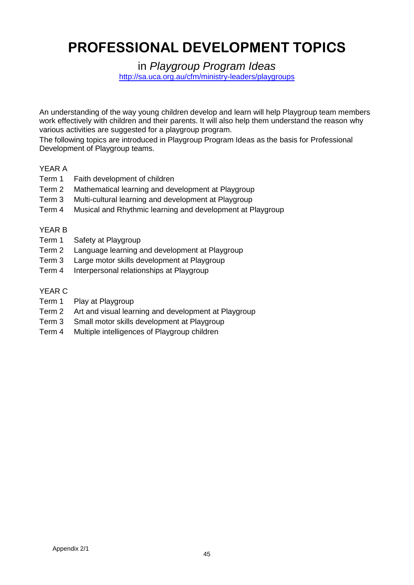# **PROFESSIONAL DEVELOPMENT TOPICS**

in *Playgroup Program Ideas*

<http://sa.uca.org.au/cfm/ministry-leaders/playgroups>

An understanding of the way young children develop and learn will help Playgroup team members work effectively with children and their parents. It will also help them understand the reason why various activities are suggested for a playgroup program.

The following topics are introduced in Playgroup Program Ideas as the basis for Professional Development of Playgroup teams.

### YEAR A

- Term 1 Faith development of children
- Term 2 Mathematical learning and development at Playgroup
- Term 3 Multi-cultural learning and development at Playgroup
- Term 4 Musical and Rhythmic learning and development at Playgroup

### YEAR B

- Term 1 Safety at Playgroup
- Term 2 Language learning and development at Playgroup
- Term 3 Large motor skills development at Playgroup
- Term 4 Interpersonal relationships at Playgroup

#### YEAR C

- Term 1 Play at Playgroup
- Term 2 Art and visual learning and development at Playgroup
- Term 3 Small motor skills development at Playgroup
- Term 4 Multiple intelligences of Playgroup children